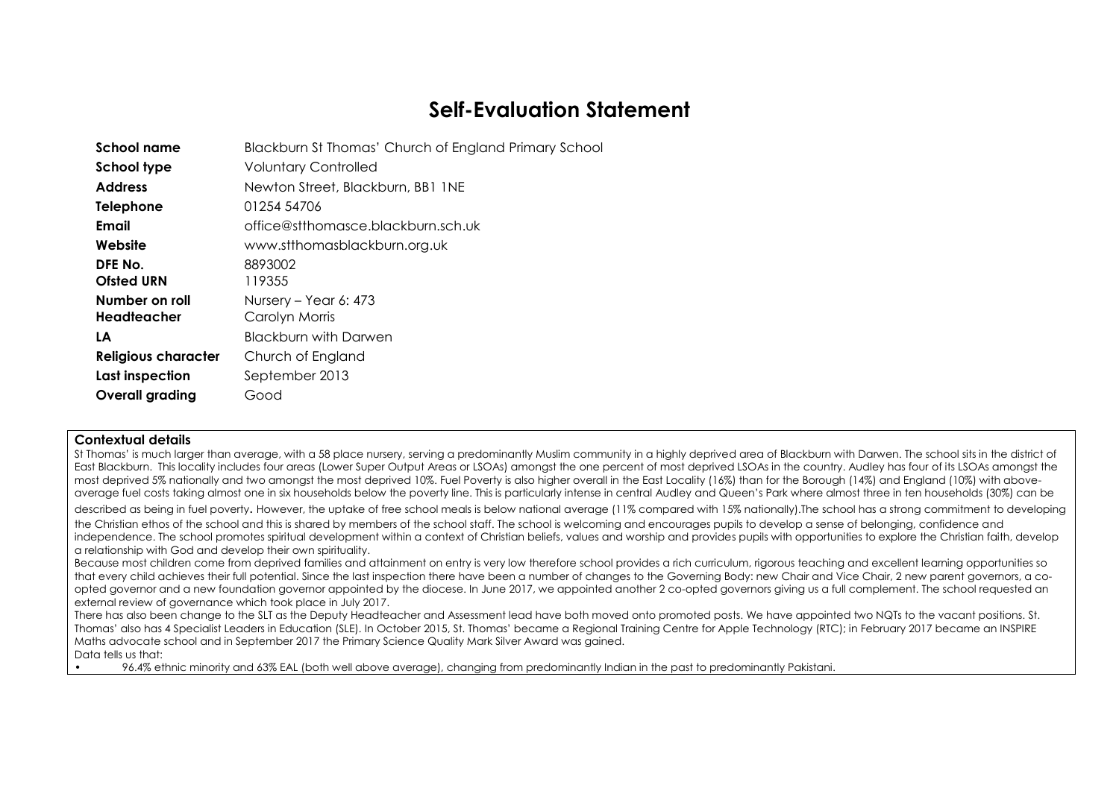# **Self-Evaluation Statement**

| Blackburn St Thomas' Church of England Primary School |
|-------------------------------------------------------|
| <b>Voluntary Controlled</b>                           |
| Newton Street, Blackburn, BB1 1NE                     |
| 01254 54706                                           |
| office@stthomasce.blackburn.sch.uk                    |
| www.stthomasblackburn.org.uk                          |
| 8893002<br>119355                                     |
| Nursery – Year 6: 473<br>Carolyn Morris               |
| <b>Blackburn with Darwen</b>                          |
| Church of England                                     |
| September 2013                                        |
| Good                                                  |
|                                                       |

#### **Contextual details**

St Thomas' is much larger than average, with a 58 place nursery, serving a predominantly Muslim community in a highly deprived area of Blackburn with Darwen. The school sits in the district of East Blackburn. This locality includes four areas (Lower Super Output Areas or LSOAs) amongst the one percent of most deprived LSOAs in the country. Audley has four of its LSOAs amongst the most deprived 5% nationally and two amonast the most deprived 10%. Fuel Poverty is also higher overall in the East Locality (16%) than for the Borough (14%) and England (10%) with aboveaverage fuel costs taking almost one in six households below the poverty line. This is particularly intense in central Audley and Queen's Park where almost three in ten households (30%) can be

described as being in fuel poverty. However, the uptake of free school meals is below national average (11% compared with 15% nationally).The school has a strong commitment to developing the Christian ethos of the school and this is shared by members of the school staff. The school is welcoming and encourages pupils to develop a sense of belonging, confidence and independence. The school promotes spiritual development within a context of Christian beliefs, values and worship and provides pupils with opportunities to explore the Christian faith, develop a relationship with God and develop their own spirituality.

Because most children come from deprived families and attainment on entry is very low therefore school provides a rich curriculum, rigorous teaching and excellent learning opportunities so that every child achieves their full potential. Since the last inspection there have been a number of changes to the Governing Body: new Chair and Vice Chair, 2 new parent governors, a coopted governor and a new foundation governor appointed by the diocese. In June 2017, we appointed another 2 co-opted governors giving us a full complement. The school requested an external review of governance which took place in July 2017.

There has also been change to the SLT as the Deputy Headteacher and Assessment lead have both moved onto promoted posts. We have appointed two NQTs to the vacant positions. St. Thomas' also has 4 Specialist Leaders in Education (SLE). In October 2015, St. Thomas' became a Regional Training Centre for Apple Technology (RTC); in February 2017 became an INSPIRE Maths advocate school and in September 2017 the Primary Science Quality Mark Silver Award was gained. Data tells us that:

• 96.4% ethnic minority and 63% EAL (both well above average), changing from predominantly Indian in the past to predominantly Pakistani.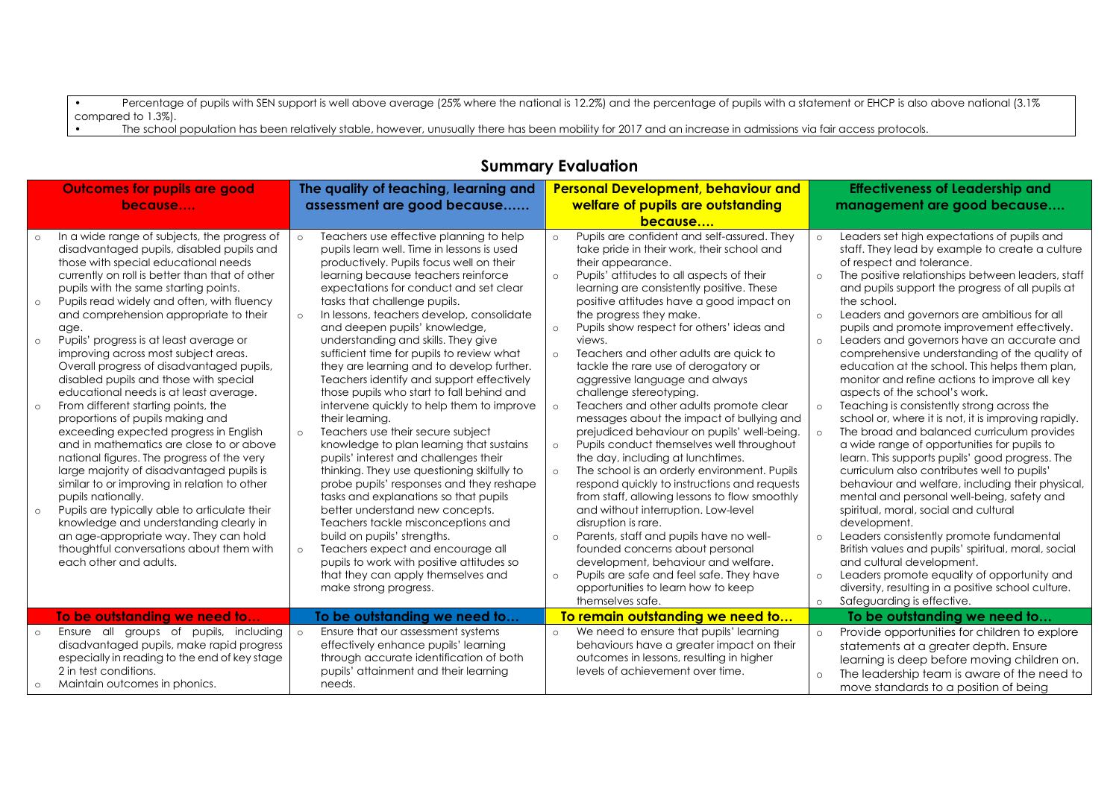• Percentage of pupils with SEN support is well above average (25% where the national is 12.2%) and the percentage of pupils with a statement or EHCP is also above national (3.1%) compared to 1.3%).

• The school population has been relatively stable, however, unusually there has been mobility for 2017 and an increase in admissions via fair access protocols.

| <b>Outcomes for pupils are good</b>                 |                                                                                                                                                                                                                                                                                                                                                                                                                                                                                                                                                                                                                                                                                                                                                                                                                                                                                                                                                                               |                               | The quality of teaching, learning and<br>assessment are good because                                                                                                                                                                                                                                                                                                                                                                                                                                                                                                                                                                                                                                                                                                                                                                                                                                                                                               |                                                                           | <b>Personal Development, behaviour and</b>                                                                                                                                                                                                                                                                                                                                                                                                                                                                                                                                                                                                                                                                                                                                                                                                                                                                                               |                                                     | <b>Effectiveness of Leadership and</b><br>management are good because                                                                                                                                                                                                                                                                                                                                                                                                                                                                                                                                                                                                                                                                                                                                                                                                                                                                                                                                                                                |
|-----------------------------------------------------|-------------------------------------------------------------------------------------------------------------------------------------------------------------------------------------------------------------------------------------------------------------------------------------------------------------------------------------------------------------------------------------------------------------------------------------------------------------------------------------------------------------------------------------------------------------------------------------------------------------------------------------------------------------------------------------------------------------------------------------------------------------------------------------------------------------------------------------------------------------------------------------------------------------------------------------------------------------------------------|-------------------------------|--------------------------------------------------------------------------------------------------------------------------------------------------------------------------------------------------------------------------------------------------------------------------------------------------------------------------------------------------------------------------------------------------------------------------------------------------------------------------------------------------------------------------------------------------------------------------------------------------------------------------------------------------------------------------------------------------------------------------------------------------------------------------------------------------------------------------------------------------------------------------------------------------------------------------------------------------------------------|---------------------------------------------------------------------------|------------------------------------------------------------------------------------------------------------------------------------------------------------------------------------------------------------------------------------------------------------------------------------------------------------------------------------------------------------------------------------------------------------------------------------------------------------------------------------------------------------------------------------------------------------------------------------------------------------------------------------------------------------------------------------------------------------------------------------------------------------------------------------------------------------------------------------------------------------------------------------------------------------------------------------------|-----------------------------------------------------|------------------------------------------------------------------------------------------------------------------------------------------------------------------------------------------------------------------------------------------------------------------------------------------------------------------------------------------------------------------------------------------------------------------------------------------------------------------------------------------------------------------------------------------------------------------------------------------------------------------------------------------------------------------------------------------------------------------------------------------------------------------------------------------------------------------------------------------------------------------------------------------------------------------------------------------------------------------------------------------------------------------------------------------------------|
| because                                             |                                                                                                                                                                                                                                                                                                                                                                                                                                                                                                                                                                                                                                                                                                                                                                                                                                                                                                                                                                               |                               |                                                                                                                                                                                                                                                                                                                                                                                                                                                                                                                                                                                                                                                                                                                                                                                                                                                                                                                                                                    |                                                                           | welfare of pupils are outstanding                                                                                                                                                                                                                                                                                                                                                                                                                                                                                                                                                                                                                                                                                                                                                                                                                                                                                                        |                                                     |                                                                                                                                                                                                                                                                                                                                                                                                                                                                                                                                                                                                                                                                                                                                                                                                                                                                                                                                                                                                                                                      |
| $\circ$<br>$\circ$<br>$\circ$<br>$\circ$<br>$\circ$ | In a wide range of subjects, the progress of<br>disadvantaged pupils, disabled pupils and<br>those with special educational needs<br>currently on roll is better than that of other<br>pupils with the same starting points.<br>Pupils read widely and often, with fluency<br>and comprehension appropriate to their<br>age.<br>Pupils' progress is at least average or<br>improving across most subject areas.<br>Overall progress of disadvantaged pupils,<br>disabled pupils and those with special<br>educational needs is at least average.<br>From different starting points, the<br>proportions of pupils making and<br>exceeding expected progress in English<br>and in mathematics are close to or above<br>national figures. The progress of the very<br>large majority of disadvantaged pupils is<br>similar to or improving in relation to other<br>pupils nationally.<br>Pupils are typically able to articulate their<br>knowledge and understanding clearly in | $\circ$<br>$\circ$<br>$\circ$ | Teachers use effective planning to help<br>pupils learn well. Time in lessons is used<br>productively. Pupils focus well on their<br>learning because teachers reinforce<br>expectations for conduct and set clear<br>tasks that challenge pupils.<br>In lessons, teachers develop, consolidate<br>and deepen pupils' knowledge,<br>understanding and skills. They give<br>sufficient time for pupils to review what<br>they are learning and to develop further.<br>Teachers identify and support effectively<br>those pupils who start to fall behind and<br>intervene quickly to help them to improve<br>their learning.<br>Teachers use their secure subject<br>knowledge to plan learning that sustains<br>pupils' interest and challenges their<br>thinking. They use questioning skilfully to<br>probe pupils' responses and they reshape<br>tasks and explanations so that pupils<br>better understand new concepts.<br>Teachers tackle misconceptions and | $\circ$<br>$\circ$<br>$\circ$<br>$\circ$<br>$\circ$<br>$\circ$<br>$\circ$ | because<br>Pupils are confident and self-assured. They<br>take pride in their work, their school and<br>their appearance.<br>Pupils' attitudes to all aspects of their<br>learning are consistently positive. These<br>positive attitudes have a good impact on<br>the progress they make.<br>Pupils show respect for others' ideas and<br>views.<br>Teachers and other adults are quick to<br>tackle the rare use of derogatory or<br>aggressive language and always<br>challenge stereotyping.<br>Teachers and other adults promote clear<br>messages about the impact of bullying and<br>prejudiced behaviour on pupils' well-being.<br>Pupils conduct themselves well throughout<br>the day, including at lunchtimes.<br>The school is an orderly environment. Pupils<br>respond quickly to instructions and requests<br>from staff, allowing lessons to flow smoothly<br>and without interruption. Low-level<br>disruption is rare. | $\circ$<br>$\circ$<br>$\circ$<br>$\circ$<br>$\circ$ | Leaders set high expectations of pupils and<br>staff. They lead by example to create a culture<br>of respect and tolerance.<br>The positive relationships between leaders, staff<br>and pupils support the progress of all pupils at<br>the school.<br>Leaders and governors are ambitious for all<br>pupils and promote improvement effectively.<br>Leaders and governors have an accurate and<br>comprehensive understanding of the quality of<br>education at the school. This helps them plan,<br>monitor and refine actions to improve all key<br>aspects of the school's work.<br>Teaching is consistently strong across the<br>school or, where it is not, it is improving rapidly.<br>The broad and balanced curriculum provides<br>a wide range of opportunities for pupils to<br>learn. This supports pupils' good progress. The<br>curriculum also contributes well to pupils'<br>behaviour and welfare, including their physical,<br>mental and personal well-being, safety and<br>spiritual, moral, social and cultural<br>development. |
|                                                     | an age-appropriate way. They can hold<br>thoughtful conversations about them with<br>each other and adults.                                                                                                                                                                                                                                                                                                                                                                                                                                                                                                                                                                                                                                                                                                                                                                                                                                                                   | $\circ$                       | build on pupils' strengths.<br>Teachers expect and encourage all<br>pupils to work with positive attitudes so<br>that they can apply themselves and<br>make strong progress.                                                                                                                                                                                                                                                                                                                                                                                                                                                                                                                                                                                                                                                                                                                                                                                       | $\circ$<br>$\circ$                                                        | Parents, staff and pupils have no well-<br>founded concerns about personal<br>development, behaviour and welfare.<br>Pupils are safe and feel safe. They have<br>opportunities to learn how to keep<br>themselves safe.                                                                                                                                                                                                                                                                                                                                                                                                                                                                                                                                                                                                                                                                                                                  | $\circ$<br>$\circ$<br>$\circ$                       | Leaders consistently promote fundamental<br>British values and pupils' spiritual, moral, social<br>and cultural development.<br>Leaders promote equality of opportunity and<br>diversity, resulting in a positive school culture.<br>Safeguarding is effective.                                                                                                                                                                                                                                                                                                                                                                                                                                                                                                                                                                                                                                                                                                                                                                                      |
|                                                     | To be outstanding we need to                                                                                                                                                                                                                                                                                                                                                                                                                                                                                                                                                                                                                                                                                                                                                                                                                                                                                                                                                  |                               | To be outstanding we need to                                                                                                                                                                                                                                                                                                                                                                                                                                                                                                                                                                                                                                                                                                                                                                                                                                                                                                                                       |                                                                           | To remain outstanding we need to                                                                                                                                                                                                                                                                                                                                                                                                                                                                                                                                                                                                                                                                                                                                                                                                                                                                                                         |                                                     | To be outstanding we need to                                                                                                                                                                                                                                                                                                                                                                                                                                                                                                                                                                                                                                                                                                                                                                                                                                                                                                                                                                                                                         |
| $\circ$                                             | Ensure all groups of pupils, including<br>disadvantaged pupils, make rapid progress<br>especially in reading to the end of key stage<br>2 in test conditions.                                                                                                                                                                                                                                                                                                                                                                                                                                                                                                                                                                                                                                                                                                                                                                                                                 | $\circ$                       | Ensure that our assessment systems<br>effectively enhance pupils' learning<br>through accurate identification of both<br>pupils' attainment and their learning                                                                                                                                                                                                                                                                                                                                                                                                                                                                                                                                                                                                                                                                                                                                                                                                     | $\circ$                                                                   | We need to ensure that pupils' learning<br>behaviours have a greater impact on their<br>outcomes in lessons, resulting in higher<br>levels of achievement over time.                                                                                                                                                                                                                                                                                                                                                                                                                                                                                                                                                                                                                                                                                                                                                                     | $\circ$<br>$\circ$                                  | Provide opportunities for children to explore<br>statements at a greater depth. Ensure<br>learning is deep before moving children on.<br>The leadership team is aware of the need to                                                                                                                                                                                                                                                                                                                                                                                                                                                                                                                                                                                                                                                                                                                                                                                                                                                                 |
| $\circ$                                             | Maintain outcomes in phonics.                                                                                                                                                                                                                                                                                                                                                                                                                                                                                                                                                                                                                                                                                                                                                                                                                                                                                                                                                 |                               | needs.                                                                                                                                                                                                                                                                                                                                                                                                                                                                                                                                                                                                                                                                                                                                                                                                                                                                                                                                                             |                                                                           |                                                                                                                                                                                                                                                                                                                                                                                                                                                                                                                                                                                                                                                                                                                                                                                                                                                                                                                                          |                                                     | move standards to a position of being                                                                                                                                                                                                                                                                                                                                                                                                                                                                                                                                                                                                                                                                                                                                                                                                                                                                                                                                                                                                                |

## **Summary Evaluation**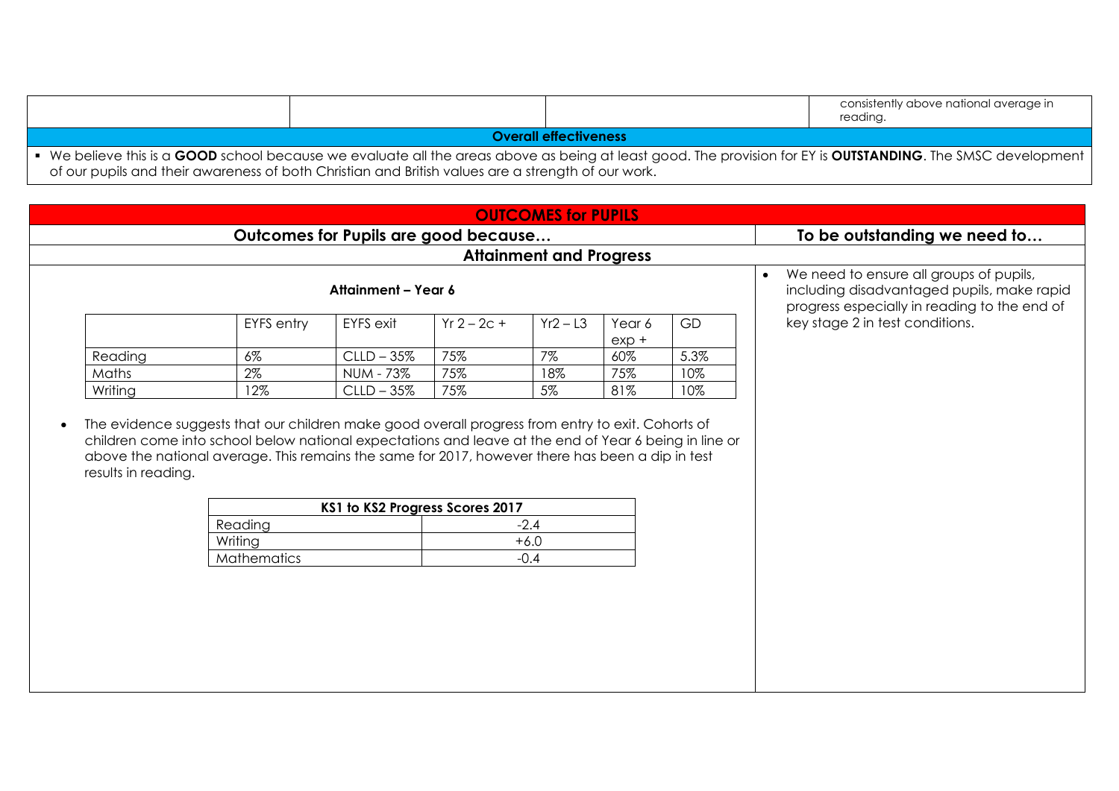|                                                                                                                                                                                                                                                                             |  |  | consistently above national average in<br>reading. |  |  |  |
|-----------------------------------------------------------------------------------------------------------------------------------------------------------------------------------------------------------------------------------------------------------------------------|--|--|----------------------------------------------------|--|--|--|
| <b>Overall effectiveness</b>                                                                                                                                                                                                                                                |  |  |                                                    |  |  |  |
| • We believe this is a GOOD school because we evaluate all the areas above as being at least good. The provision for EY is OUTSTANDING. The SMSC development  <br>. The second contract is a second contract of the second contract of the second contract of $\mathcal{L}$ |  |  |                                                    |  |  |  |

of our pupils and their awareness of both Christian and British values are a strength of our work.

| <b>Attainment and Progress</b><br>We need to ensure all groups of pupils,<br>$\bullet$<br>Attainment - Year 6<br>progress especially in reading to the end of<br>key stage 2 in test conditions.<br><b>EYFS</b> exit<br>$Yr 2 - 2c +$<br><b>EYFS</b> entry<br>$Yr2 - L3$<br>GD<br>Year 6<br>$exp +$<br>75%<br>7%<br>5.3%<br>Reading<br>$6\%$<br>$CLLD - 35%$<br>60%<br>$2\%$<br>75%<br>75%<br>Maths<br><b>NUM - 73%</b><br>18%<br>10%<br>75%<br>12%<br>5%<br>81%<br>10%<br>Writing<br>$CLLD - 35%$<br>KS1 to KS2 Progress Scores 2017<br>Reading<br>$-2.4$<br>Writing<br>$+6.0$<br>Mathematics<br>$-0.4$ |  |  |  | Outcomes for Pupils are good because |  |  |                                            | To be outstanding we need to |
|----------------------------------------------------------------------------------------------------------------------------------------------------------------------------------------------------------------------------------------------------------------------------------------------------------------------------------------------------------------------------------------------------------------------------------------------------------------------------------------------------------------------------------------------------------------------------------------------------------|--|--|--|--------------------------------------|--|--|--------------------------------------------|------------------------------|
| The evidence suggests that our children make good overall progress from entry to exit. Cohorts of<br>children come into school below national expectations and leave at the end of Year 6 being in line or<br>above the national average. This remains the same for 2017, however there has been a dip in test<br>results in reading.                                                                                                                                                                                                                                                                    |  |  |  |                                      |  |  |                                            |                              |
|                                                                                                                                                                                                                                                                                                                                                                                                                                                                                                                                                                                                          |  |  |  |                                      |  |  | including disadvantaged pupils, make rapid |                              |
|                                                                                                                                                                                                                                                                                                                                                                                                                                                                                                                                                                                                          |  |  |  |                                      |  |  |                                            |                              |
|                                                                                                                                                                                                                                                                                                                                                                                                                                                                                                                                                                                                          |  |  |  |                                      |  |  |                                            |                              |
|                                                                                                                                                                                                                                                                                                                                                                                                                                                                                                                                                                                                          |  |  |  |                                      |  |  |                                            |                              |
|                                                                                                                                                                                                                                                                                                                                                                                                                                                                                                                                                                                                          |  |  |  |                                      |  |  |                                            |                              |
|                                                                                                                                                                                                                                                                                                                                                                                                                                                                                                                                                                                                          |  |  |  |                                      |  |  |                                            |                              |
|                                                                                                                                                                                                                                                                                                                                                                                                                                                                                                                                                                                                          |  |  |  |                                      |  |  |                                            |                              |
|                                                                                                                                                                                                                                                                                                                                                                                                                                                                                                                                                                                                          |  |  |  |                                      |  |  |                                            |                              |
|                                                                                                                                                                                                                                                                                                                                                                                                                                                                                                                                                                                                          |  |  |  |                                      |  |  |                                            |                              |
|                                                                                                                                                                                                                                                                                                                                                                                                                                                                                                                                                                                                          |  |  |  |                                      |  |  |                                            |                              |
|                                                                                                                                                                                                                                                                                                                                                                                                                                                                                                                                                                                                          |  |  |  |                                      |  |  |                                            |                              |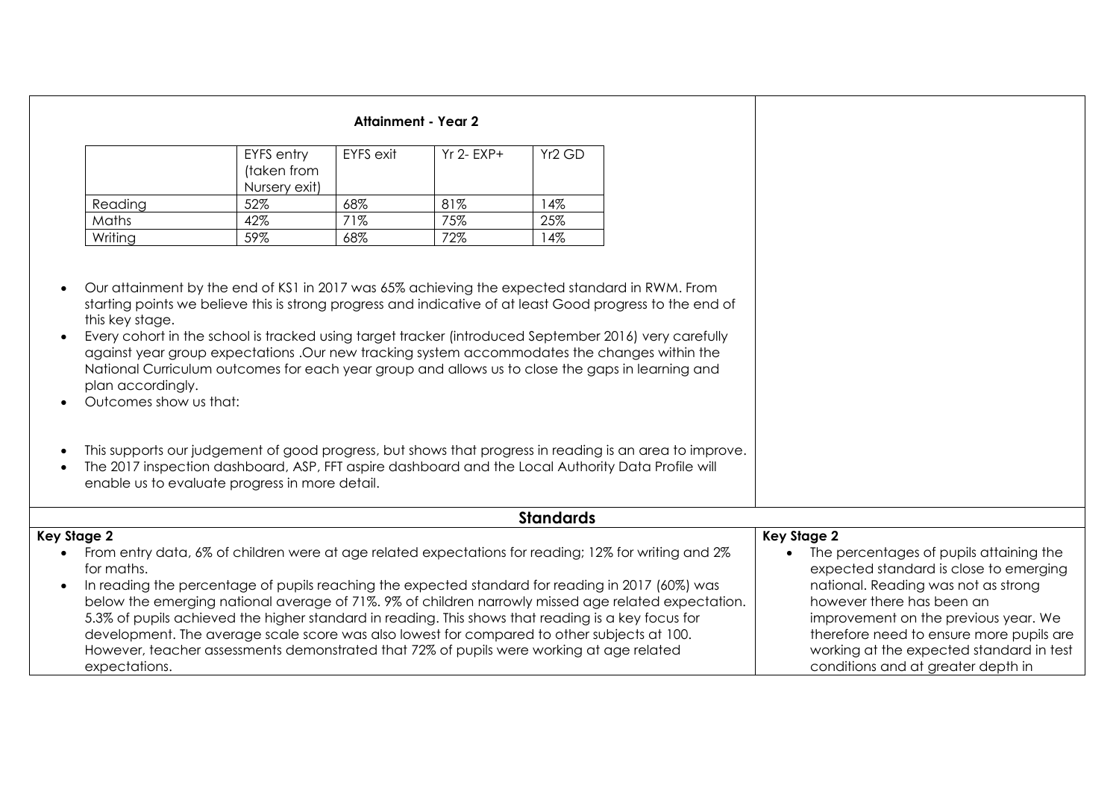| <b>Attainment - Year 2</b> |  |  |
|----------------------------|--|--|
|----------------------------|--|--|

|         | EYFS entry<br>(taken from<br>Nursery exit) | EYFS exit | $Yr$ 2- $FXP+$ | Yr2 GD |
|---------|--------------------------------------------|-----------|----------------|--------|
| Reading | 52%                                        | 68%       | 81%            | 4%     |
| Maths   | 42%                                        | 71%       | 75%            | 25%    |
| Writing | 59%                                        | 68%       | 72%            | 4%     |

 Our attainment by the end of KS1 in 2017 was 65% achieving the expected standard in RWM. From starting points we believe this is strong progress and indicative of at least Good progress to the end of this key stage.

 Every cohort in the school is tracked using target tracker (introduced September 2016) very carefully against year group expectations .Our new tracking system accommodates the changes within the National Curriculum outcomes for each year group and allows us to close the gaps in learning and plan accordingly.

- Outcomes show us that:
- This supports our judgement of good progress, but shows that progress in reading is an area to improve.
- The 2017 inspection dashboard, ASP, FFT aspire dashboard and the Local Authority Data Profile will enable us to evaluate progress in more detail.

| <b>Standards</b>                                                                                     |                                          |
|------------------------------------------------------------------------------------------------------|------------------------------------------|
| Key Stage 2                                                                                          | Key Stage 2                              |
| From entry data, 6% of children were at age related expectations for reading; 12% for writing and 2% | The percentages of pupils attaining the  |
| for maths.                                                                                           | expected standard is close to emerging   |
| In reading the percentage of pupils reaching the expected standard for reading in 2017 (60%) was     | national. Reading was not as strong      |
| below the emerging national average of 71%. 9% of children narrowly missed age related expectation.  | however there has been an                |
| 5.3% of pupils achieved the higher standard in reading. This shows that reading is a key focus for   | improvement on the previous year. We     |
| development. The average scale score was also lowest for compared to other subjects at 100.          | therefore need to ensure more pupils are |
| However, teacher assessments demonstrated that 72% of pupils were working at age related             | working at the expected standard in test |
| expectations.                                                                                        | conditions and at greater depth in       |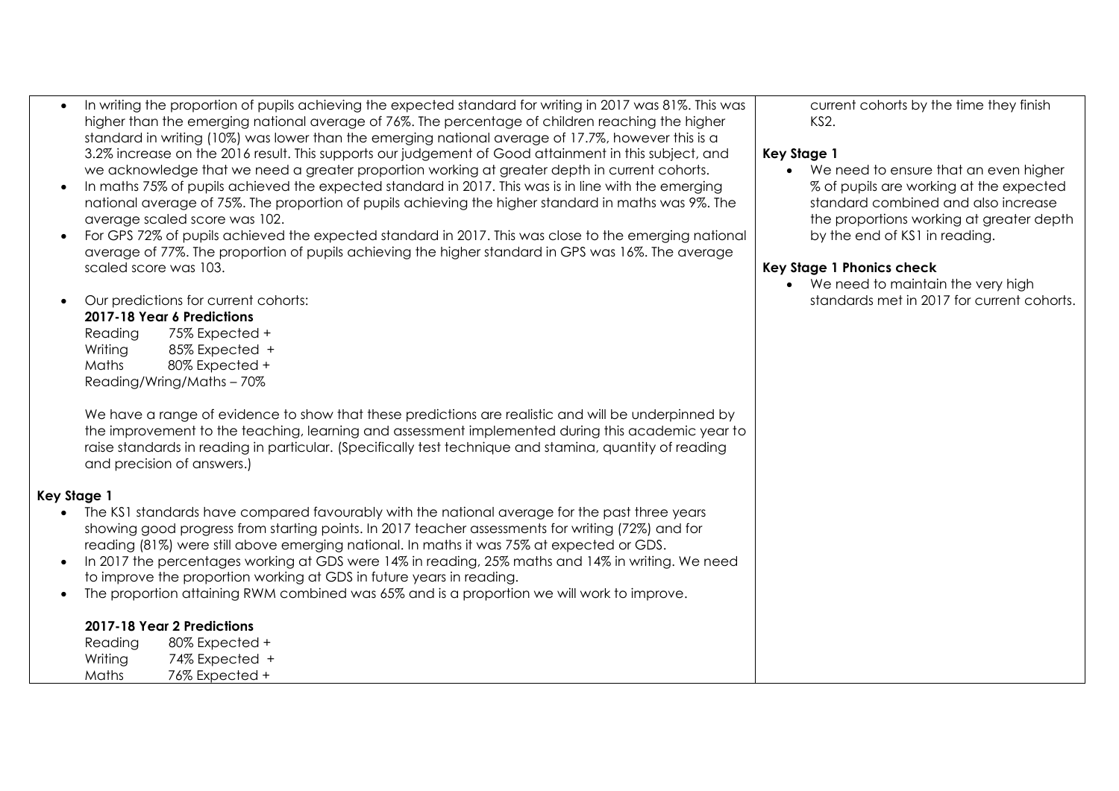- In writing the proportion of pupils achieving the expected standard for writing in 2017 was 81%. This was higher than the emerging national average of 76%. The percentage of children reaching the higher standard in writing (10%) was lower than the emerging national average of 17.7%, however this is a 3.2% increase on the 2016 result. This supports our judgement of Good attainment in this subject, and we acknowledge that we need a greater proportion working at greater depth in current cohorts.
- In maths 75% of pupils achieved the expected standard in 2017. This was is in line with the emerging national average of 75%. The proportion of pupils achieving the higher standard in maths was 9%. The average scaled score was 102.
- For GPS 72% of pupils achieved the expected standard in 2017. This was close to the emerging national average of 77%. The proportion of pupils achieving the higher standard in GPS was 16%. The average scaled score was 103.
- Our predictions for current cohorts: **2017-18 Year 6 Predictions** 
	- Reading 75% Expected + Writing 85% Expected + Maths 80% Expected + Reading/Wring/Maths – 70%

We have a range of evidence to show that these predictions are realistic and will be underpinned by the improvement to the teaching, learning and assessment implemented during this academic year to raise standards in reading in particular. (Specifically test technique and stamina, quantity of reading and precision of answers.)

#### **Key Stage 1**

- The KS1 standards have compared favourably with the national average for the past three years showing good progress from starting points. In 2017 teacher assessments for writing (72%) and for reading (81%) were still above emerging national. In maths it was 75% at expected or GDS.
- In 2017 the percentages working at GDS were 14% in reading, 25% maths and 14% in writing. We need to improve the proportion working at GDS in future years in reading.
- The proportion attaining RWM combined was 65% and is a proportion we will work to improve.

### **2017-18 Year 2 Predictions**

| Reading | 80% Expected + |
|---------|----------------|
| Writing | 74% Expected + |
| Maths   | 76% Expected + |

current cohorts by the time they finish KS2.

#### **Key Stage 1**

• We need to ensure that an even higher % of pupils are working at the expected standard combined and also increase the proportions working at greater depth by the end of KS1 in reading.

#### **Key Stage 1 Phonics check**

• We need to maintain the very high standards met in 2017 for current cohorts.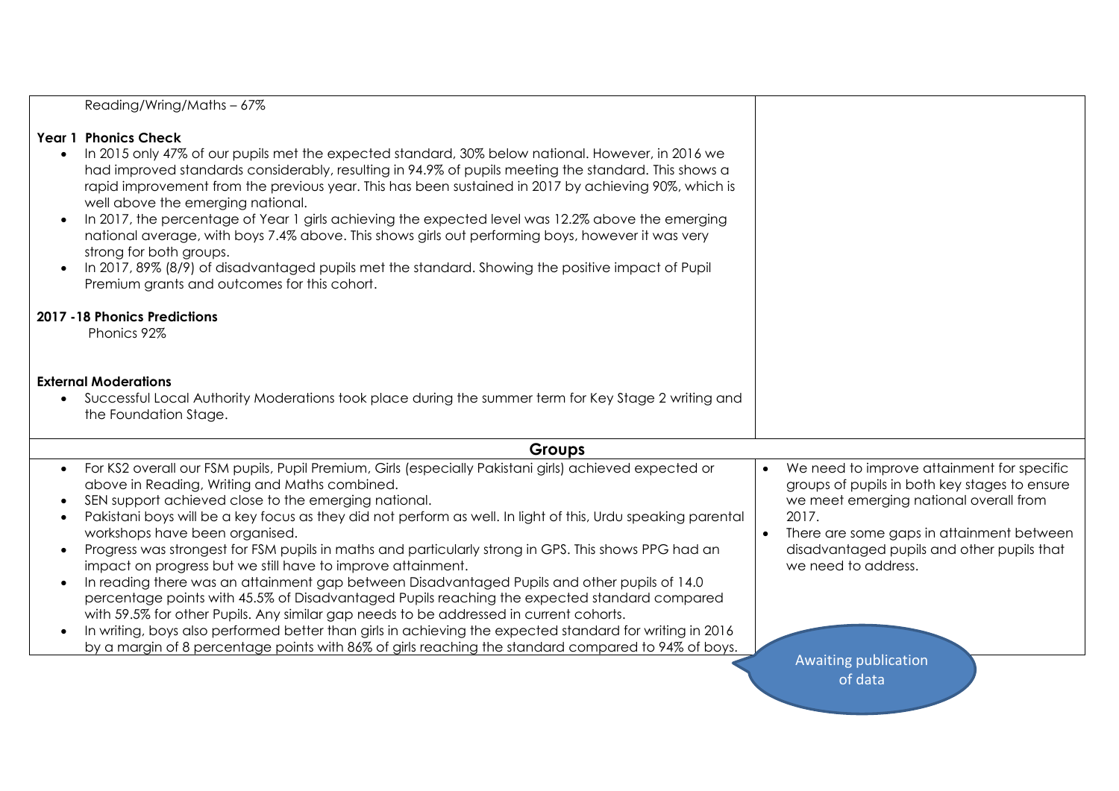| Reading/Wring/Maths-67%                                                                                                                                                                                                                                                                                                                                                                                                                                                                                                                                                                                                                                                                                                                                                                                                                                                                                                                                                                                                                                                                                                |                                                                                                                                                                                                                                                                                                       |
|------------------------------------------------------------------------------------------------------------------------------------------------------------------------------------------------------------------------------------------------------------------------------------------------------------------------------------------------------------------------------------------------------------------------------------------------------------------------------------------------------------------------------------------------------------------------------------------------------------------------------------------------------------------------------------------------------------------------------------------------------------------------------------------------------------------------------------------------------------------------------------------------------------------------------------------------------------------------------------------------------------------------------------------------------------------------------------------------------------------------|-------------------------------------------------------------------------------------------------------------------------------------------------------------------------------------------------------------------------------------------------------------------------------------------------------|
|                                                                                                                                                                                                                                                                                                                                                                                                                                                                                                                                                                                                                                                                                                                                                                                                                                                                                                                                                                                                                                                                                                                        |                                                                                                                                                                                                                                                                                                       |
| <b>Year 1 Phonics Check</b><br>In 2015 only 47% of our pupils met the expected standard, 30% below national. However, in 2016 we<br>$\bullet$<br>had improved standards considerably, resulting in 94.9% of pupils meeting the standard. This shows a<br>rapid improvement from the previous year. This has been sustained in 2017 by achieving 90%, which is<br>well above the emerging national.<br>In 2017, the percentage of Year 1 girls achieving the expected level was 12.2% above the emerging<br>$\bullet$<br>national average, with boys 7.4% above. This shows girls out performing boys, however it was very<br>strong for both groups.<br>In 2017, 89% (8/9) of disadvantaged pupils met the standard. Showing the positive impact of Pupil<br>$\bullet$<br>Premium grants and outcomes for this cohort.                                                                                                                                                                                                                                                                                                 |                                                                                                                                                                                                                                                                                                       |
| 2017 - 18 Phonics Predictions                                                                                                                                                                                                                                                                                                                                                                                                                                                                                                                                                                                                                                                                                                                                                                                                                                                                                                                                                                                                                                                                                          |                                                                                                                                                                                                                                                                                                       |
| Phonics 92%                                                                                                                                                                                                                                                                                                                                                                                                                                                                                                                                                                                                                                                                                                                                                                                                                                                                                                                                                                                                                                                                                                            |                                                                                                                                                                                                                                                                                                       |
| <b>External Moderations</b><br>Successful Local Authority Moderations took place during the summer term for Key Stage 2 writing and<br>$\bullet$<br>the Foundation Stage.                                                                                                                                                                                                                                                                                                                                                                                                                                                                                                                                                                                                                                                                                                                                                                                                                                                                                                                                              |                                                                                                                                                                                                                                                                                                       |
| <b>Groups</b>                                                                                                                                                                                                                                                                                                                                                                                                                                                                                                                                                                                                                                                                                                                                                                                                                                                                                                                                                                                                                                                                                                          |                                                                                                                                                                                                                                                                                                       |
| For KS2 overall our FSM pupils, Pupil Premium, Girls (especially Pakistani girls) achieved expected or<br>$\bullet$<br>above in Reading, Writing and Maths combined.<br>SEN support achieved close to the emerging national.<br>Pakistani boys will be a key focus as they did not perform as well. In light of this, Urdu speaking parental<br>$\bullet$<br>workshops have been organised.<br>Progress was strongest for FSM pupils in maths and particularly strong in GPS. This shows PPG had an<br>$\bullet$<br>impact on progress but we still have to improve attainment.<br>In reading there was an attainment gap between Disadvantaged Pupils and other pupils of 14.0<br>$\bullet$<br>percentage points with 45.5% of Disadvantaged Pupils reaching the expected standard compared<br>with 59.5% for other Pupils. Any similar gap needs to be addressed in current cohorts.<br>In writing, boys also performed better than girls in achieving the expected standard for writing in 2016<br>$\bullet$<br>by a margin of 8 percentage points with 86% of girls reaching the standard compared to 94% of boys. | We need to improve attainment for specific<br>groups of pupils in both key stages to ensure<br>we meet emerging national overall from<br>2017.<br>There are some gaps in attainment between<br>$\bullet$<br>disadvantaged pupils and other pupils that<br>we need to address.<br>Awaiting publication |
|                                                                                                                                                                                                                                                                                                                                                                                                                                                                                                                                                                                                                                                                                                                                                                                                                                                                                                                                                                                                                                                                                                                        | of data                                                                                                                                                                                                                                                                                               |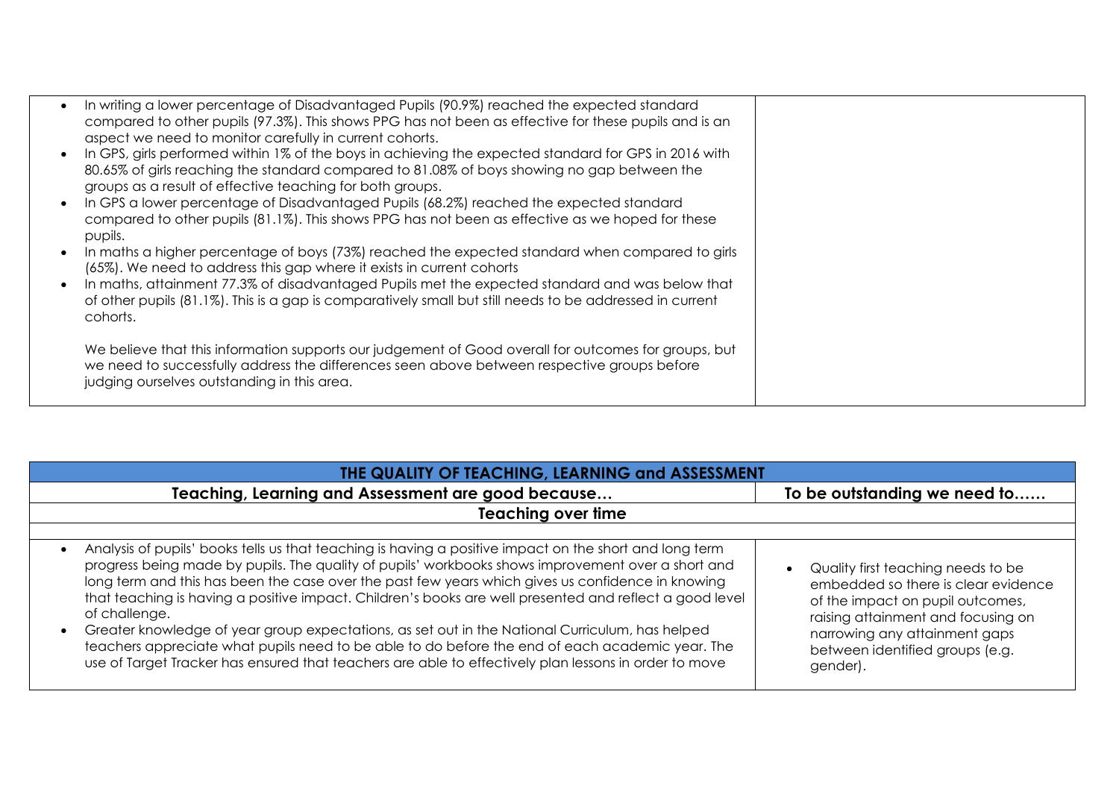| In writing a lower percentage of Disadvantaged Pupils (90.9%) reached the expected standard<br>compared to other pupils (97.3%). This shows PPG has not been as effective for these pupils and is an<br>aspect we need to monitor carefully in current cohorts.   |  |
|-------------------------------------------------------------------------------------------------------------------------------------------------------------------------------------------------------------------------------------------------------------------|--|
| In GPS, girls performed within 1% of the boys in achieving the expected standard for GPS in 2016 with<br>80.65% of girls reaching the standard compared to 81.08% of boys showing no gap between the<br>groups as a result of effective teaching for both groups. |  |
| In GPS a lower percentage of Disadvantaged Pupils (68.2%) reached the expected standard<br>compared to other pupils (81.1%). This shows PPG has not been as effective as we hoped for these<br>pupils.                                                            |  |
| In maths a higher percentage of boys (73%) reached the expected standard when compared to girls<br>(65%). We need to address this gap where it exists in current cohorts                                                                                          |  |
| In maths, attainment 77.3% of disadvantaged Pupils met the expected standard and was below that<br>of other pupils (81.1%). This is a gap is comparatively small but still needs to be addressed in current<br>cohorts.                                           |  |
| We believe that this information supports our judgement of Good overall for outcomes for groups, but<br>we need to successfully address the differences seen above between respective groups before<br>judging ourselves outstanding in this area.                |  |

| THE QUALITY OF TEACHING, LEARNING and ASSESSMENT                                                                                                                                                                                                                                                                                                                                                                                                                                                                                                                                                                                                                                                                                                              |                                                                                                                                                                                                                                     |  |  |  |
|---------------------------------------------------------------------------------------------------------------------------------------------------------------------------------------------------------------------------------------------------------------------------------------------------------------------------------------------------------------------------------------------------------------------------------------------------------------------------------------------------------------------------------------------------------------------------------------------------------------------------------------------------------------------------------------------------------------------------------------------------------------|-------------------------------------------------------------------------------------------------------------------------------------------------------------------------------------------------------------------------------------|--|--|--|
| Teaching, Learning and Assessment are good because                                                                                                                                                                                                                                                                                                                                                                                                                                                                                                                                                                                                                                                                                                            | To be outstanding we need to                                                                                                                                                                                                        |  |  |  |
| <b>Teaching over time</b>                                                                                                                                                                                                                                                                                                                                                                                                                                                                                                                                                                                                                                                                                                                                     |                                                                                                                                                                                                                                     |  |  |  |
| Analysis of pupils' books tells us that teaching is having a positive impact on the short and long term<br>progress being made by pupils. The quality of pupils' workbooks shows improvement over a short and<br>long term and this has been the case over the past few years which gives us confidence in knowing<br>that teaching is having a positive impact. Children's books are well presented and reflect a good level<br>of challenge.<br>Greater knowledge of year group expectations, as set out in the National Curriculum, has helped<br>teachers appreciate what pupils need to be able to do before the end of each academic year. The<br>use of Target Tracker has ensured that teachers are able to effectively plan lessons in order to move | Quality first teaching needs to be<br>embedded so there is clear evidence<br>of the impact on pupil outcomes,<br>raising attainment and focusing on<br>narrowing any attainment gaps<br>between identified groups (e.g.<br>gender). |  |  |  |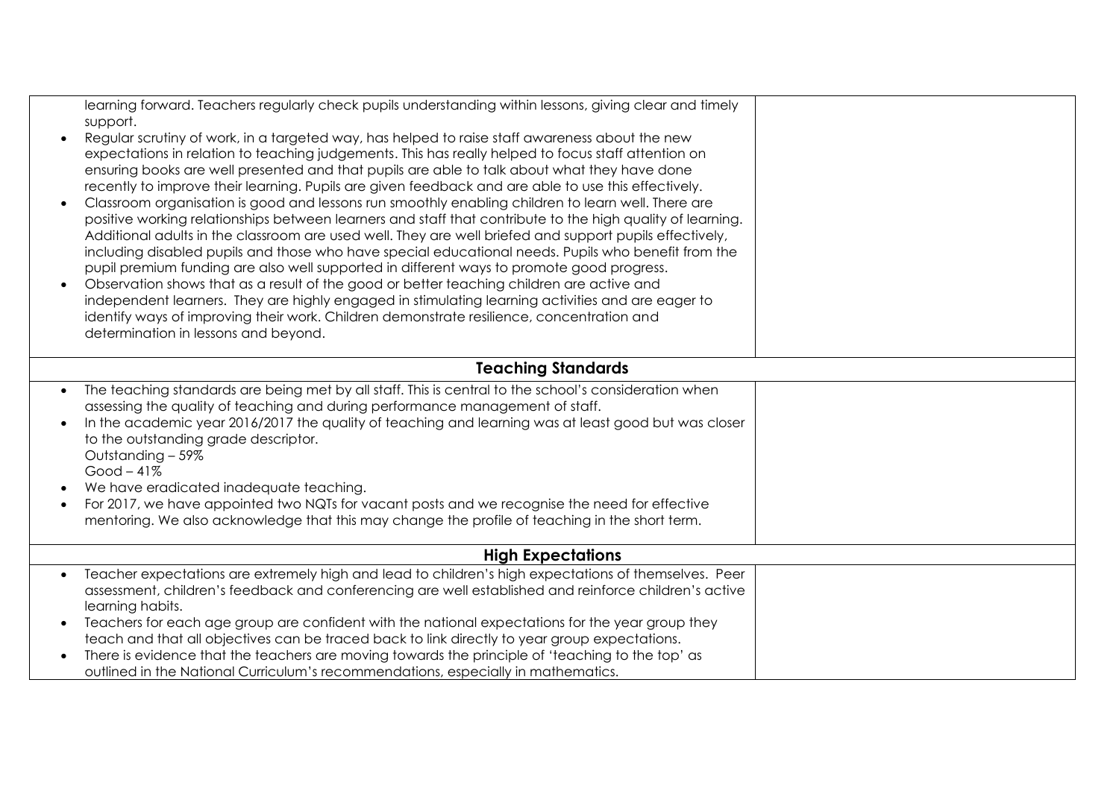| learning forward. Teachers regularly check pupils understanding within lessons, giving clear and timely<br>support.<br>Regular scrutiny of work, in a targeted way, has helped to raise staff awareness about the new<br>$\bullet$<br>expectations in relation to teaching judgements. This has really helped to focus staff attention on<br>ensuring books are well presented and that pupils are able to talk about what they have done<br>recently to improve their learning. Pupils are given feedback and are able to use this effectively.<br>Classroom organisation is good and lessons run smoothly enabling children to learn well. There are<br>positive working relationships between learners and staff that contribute to the high quality of learning.<br>Additional adults in the classroom are used well. They are well briefed and support pupils effectively,<br>including disabled pupils and those who have special educational needs. Pupils who benefit from the<br>pupil premium funding are also well supported in different ways to promote good progress.<br>Observation shows that as a result of the good or better teaching children are active and<br>$\bullet$<br>independent learners. They are highly engaged in stimulating learning activities and are eager to<br>identify ways of improving their work. Children demonstrate resilience, concentration and<br>determination in lessons and beyond. |  |  |  |  |  |  |
|-----------------------------------------------------------------------------------------------------------------------------------------------------------------------------------------------------------------------------------------------------------------------------------------------------------------------------------------------------------------------------------------------------------------------------------------------------------------------------------------------------------------------------------------------------------------------------------------------------------------------------------------------------------------------------------------------------------------------------------------------------------------------------------------------------------------------------------------------------------------------------------------------------------------------------------------------------------------------------------------------------------------------------------------------------------------------------------------------------------------------------------------------------------------------------------------------------------------------------------------------------------------------------------------------------------------------------------------------------------------------------------------------------------------------------------------|--|--|--|--|--|--|
| <b>Teaching Standards</b>                                                                                                                                                                                                                                                                                                                                                                                                                                                                                                                                                                                                                                                                                                                                                                                                                                                                                                                                                                                                                                                                                                                                                                                                                                                                                                                                                                                                               |  |  |  |  |  |  |
| The teaching standards are being met by all staff. This is central to the school's consideration when<br>$\bullet$<br>assessing the quality of teaching and during performance management of staff.<br>In the academic year 2016/2017 the quality of teaching and learning was at least good but was closer<br>to the outstanding grade descriptor.<br>Outstanding - 59%<br>$Good-41%$<br>We have eradicated inadequate teaching.<br>For 2017, we have appointed two NQTs for vacant posts and we recognise the need for effective<br>$\bullet$<br>mentoring. We also acknowledge that this may change the profile of teaching in the short term.                                                                                                                                                                                                                                                                                                                                                                                                                                                                                                                                                                                                                                                                                                                                                                                       |  |  |  |  |  |  |
| <b>High Expectations</b>                                                                                                                                                                                                                                                                                                                                                                                                                                                                                                                                                                                                                                                                                                                                                                                                                                                                                                                                                                                                                                                                                                                                                                                                                                                                                                                                                                                                                |  |  |  |  |  |  |
| Teacher expectations are extremely high and lead to children's high expectations of themselves. Peer<br>$\bullet$<br>assessment, children's feedback and conferencing are well established and reinforce children's active<br>learning habits.<br>Teachers for each age group are confident with the national expectations for the year group they<br>teach and that all objectives can be traced back to link directly to year group expectations.<br>There is evidence that the teachers are moving towards the principle of 'teaching to the top' as<br>outlined in the National Curriculum's recommendations, especially in mathematics.                                                                                                                                                                                                                                                                                                                                                                                                                                                                                                                                                                                                                                                                                                                                                                                            |  |  |  |  |  |  |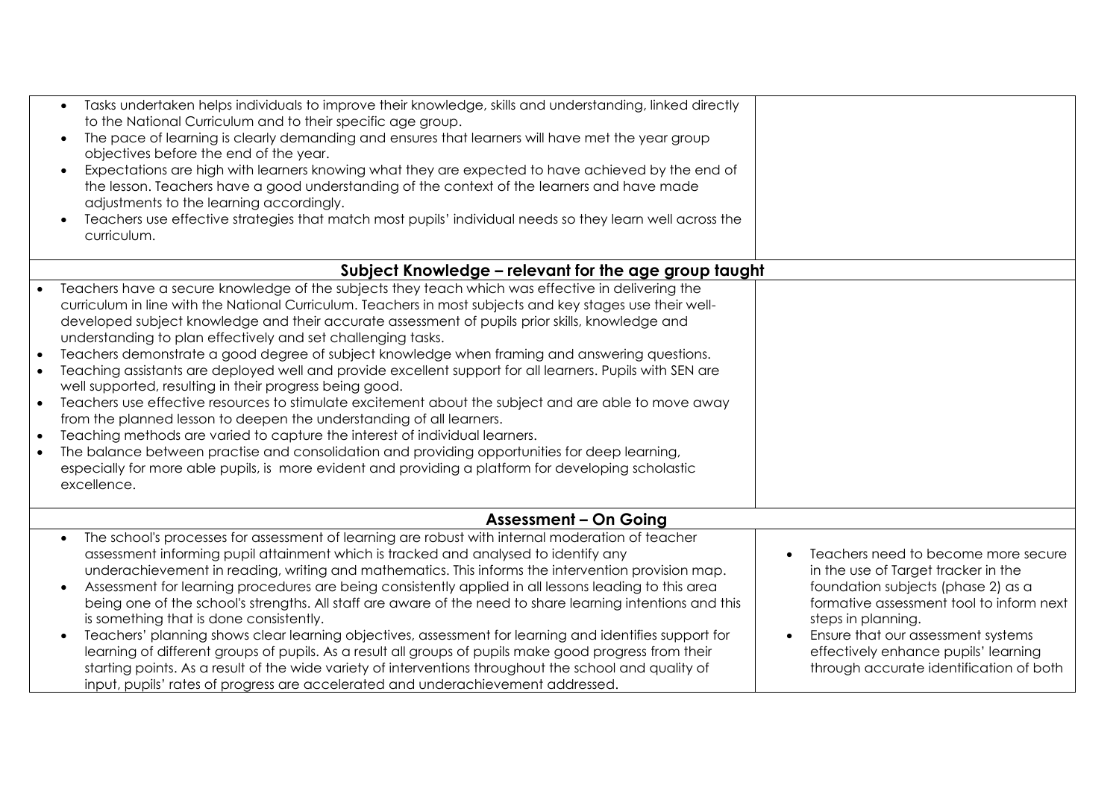| Tasks undertaken helps individuals to improve their knowledge, skills and understanding, linked directly<br>to the National Curriculum and to their specific age group.<br>The pace of learning is clearly demanding and ensures that learners will have met the year group<br>objectives before the end of the year.<br>Expectations are high with learners knowing what they are expected to have achieved by the end of<br>the lesson. Teachers have a good understanding of the context of the learners and have made<br>adjustments to the learning accordingly.<br>Teachers use effective strategies that match most pupils' individual needs so they learn well across the<br>curriculum.                                                                                                                                                                                                                                                                                                                                                                                                                                                                                                                               |                                                                                                                                                                                                                                                                                                             |
|--------------------------------------------------------------------------------------------------------------------------------------------------------------------------------------------------------------------------------------------------------------------------------------------------------------------------------------------------------------------------------------------------------------------------------------------------------------------------------------------------------------------------------------------------------------------------------------------------------------------------------------------------------------------------------------------------------------------------------------------------------------------------------------------------------------------------------------------------------------------------------------------------------------------------------------------------------------------------------------------------------------------------------------------------------------------------------------------------------------------------------------------------------------------------------------------------------------------------------|-------------------------------------------------------------------------------------------------------------------------------------------------------------------------------------------------------------------------------------------------------------------------------------------------------------|
| Subject Knowledge – relevant for the age group taught                                                                                                                                                                                                                                                                                                                                                                                                                                                                                                                                                                                                                                                                                                                                                                                                                                                                                                                                                                                                                                                                                                                                                                          |                                                                                                                                                                                                                                                                                                             |
| Teachers have a secure knowledge of the subjects they teach which was effective in delivering the<br>$\bullet$<br>curriculum in line with the National Curriculum. Teachers in most subjects and key stages use their well-<br>developed subject knowledge and their accurate assessment of pupils prior skills, knowledge and<br>understanding to plan effectively and set challenging tasks.<br>Teachers demonstrate a good degree of subject knowledge when framing and answering questions.<br>$\bullet$<br>Teaching assistants are deployed well and provide excellent support for all learners. Pupils with SEN are<br>$\bullet$<br>well supported, resulting in their progress being good.<br>Teachers use effective resources to stimulate excitement about the subject and are able to move away<br>$\bullet$<br>from the planned lesson to deepen the understanding of all learners.<br>Teaching methods are varied to capture the interest of individual learners.<br>$\bullet$<br>The balance between practise and consolidation and providing opportunities for deep learning,<br>$\bullet$<br>especially for more able pupils, is more evident and providing a platform for developing scholastic<br>excellence. |                                                                                                                                                                                                                                                                                                             |
| <b>Assessment - On Going</b>                                                                                                                                                                                                                                                                                                                                                                                                                                                                                                                                                                                                                                                                                                                                                                                                                                                                                                                                                                                                                                                                                                                                                                                                   |                                                                                                                                                                                                                                                                                                             |
| The school's processes for assessment of learning are robust with internal moderation of teacher<br>assessment informing pupil attainment which is tracked and analysed to identify any<br>underachievement in reading, writing and mathematics. This informs the intervention provision map.<br>Assessment for learning procedures are being consistently applied in all lessons leading to this area<br>being one of the school's strengths. All staff are aware of the need to share learning intentions and this<br>is something that is done consistently.<br>Teachers' planning shows clear learning objectives, assessment for learning and identifies support for<br>learning of different groups of pupils. As a result all groups of pupils make good progress from their<br>starting points. As a result of the wide variety of interventions throughout the school and quality of<br>input, pupils' rates of progress are accelerated and underachievement addressed.                                                                                                                                                                                                                                              | Teachers need to become more secure<br>in the use of Target tracker in the<br>foundation subjects (phase 2) as a<br>formative assessment tool to inform next<br>steps in planning.<br>Ensure that our assessment systems<br>effectively enhance pupils' learning<br>through accurate identification of both |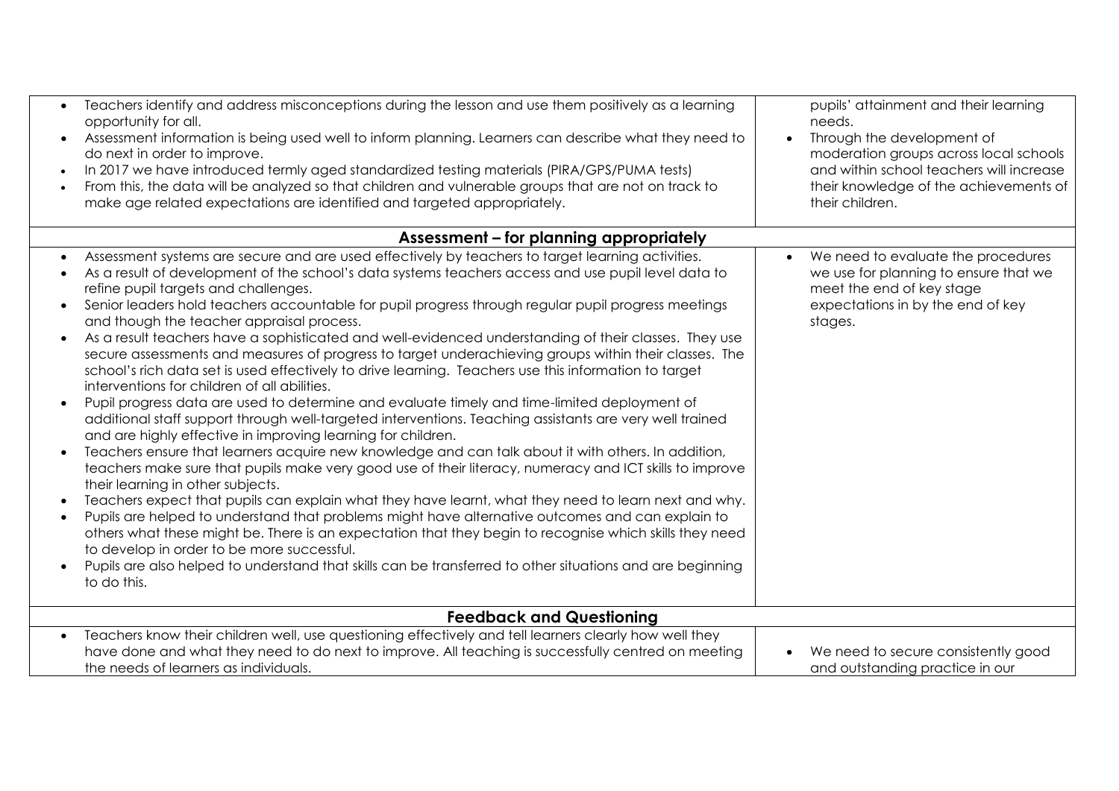| $\bullet$                           | Teachers identify and address misconceptions during the lesson and use them positively as a learning<br>opportunity for all.<br>Assessment information is being used well to inform planning. Learners can describe what they need to<br>do next in order to improve.<br>In 2017 we have introduced termly aged standardized testing materials (PIRA/GPS/PUMA tests)<br>From this, the data will be analyzed so that children and vulnerable groups that are not on track to<br>make age related expectations are identified and targeted appropriately.                                                                                                                                                                                                                                                                                                                                                                                                                                                                                                                                                                                                                                                                                                                                                                                                                                                                                                                                                                                                                                                                                                                                                                                                                                                           | pupils' attainment and their learning<br>needs.<br>Through the development of<br>$\bullet$<br>moderation groups across local schools<br>and within school teachers will increase<br>their knowledge of the achievements of<br>their children. |
|-------------------------------------|--------------------------------------------------------------------------------------------------------------------------------------------------------------------------------------------------------------------------------------------------------------------------------------------------------------------------------------------------------------------------------------------------------------------------------------------------------------------------------------------------------------------------------------------------------------------------------------------------------------------------------------------------------------------------------------------------------------------------------------------------------------------------------------------------------------------------------------------------------------------------------------------------------------------------------------------------------------------------------------------------------------------------------------------------------------------------------------------------------------------------------------------------------------------------------------------------------------------------------------------------------------------------------------------------------------------------------------------------------------------------------------------------------------------------------------------------------------------------------------------------------------------------------------------------------------------------------------------------------------------------------------------------------------------------------------------------------------------------------------------------------------------------------------------------------------------|-----------------------------------------------------------------------------------------------------------------------------------------------------------------------------------------------------------------------------------------------|
|                                     | Assessment - for planning appropriately                                                                                                                                                                                                                                                                                                                                                                                                                                                                                                                                                                                                                                                                                                                                                                                                                                                                                                                                                                                                                                                                                                                                                                                                                                                                                                                                                                                                                                                                                                                                                                                                                                                                                                                                                                            |                                                                                                                                                                                                                                               |
| $\bullet$<br>$\bullet$<br>$\bullet$ | Assessment systems are secure and are used effectively by teachers to target learning activities.<br>As a result of development of the school's data systems teachers access and use pupil level data to<br>refine pupil targets and challenges.<br>Senior leaders hold teachers accountable for pupil progress through regular pupil progress meetings<br>and though the teacher appraisal process.<br>As a result teachers have a sophisticated and well-evidenced understanding of their classes. They use<br>secure assessments and measures of progress to target underachieving groups within their classes. The<br>school's rich data set is used effectively to drive learning. Teachers use this information to target<br>interventions for children of all abilities.<br>Pupil progress data are used to determine and evaluate timely and time-limited deployment of<br>additional staff support through well-targeted interventions. Teaching assistants are very well trained<br>and are highly effective in improving learning for children.<br>Teachers ensure that learners acquire new knowledge and can talk about it with others. In addition,<br>teachers make sure that pupils make very good use of their literacy, numeracy and ICT skills to improve<br>their learning in other subjects.<br>Teachers expect that pupils can explain what they have learnt, what they need to learn next and why.<br>Pupils are helped to understand that problems might have alternative outcomes and can explain to<br>others what these might be. There is an expectation that they begin to recognise which skills they need<br>to develop in order to be more successful.<br>Pupils are also helped to understand that skills can be transferred to other situations and are beginning<br>to do this. | We need to evaluate the procedures<br>$\bullet$<br>we use for planning to ensure that we<br>meet the end of key stage<br>expectations in by the end of key<br>stages.                                                                         |
|                                     |                                                                                                                                                                                                                                                                                                                                                                                                                                                                                                                                                                                                                                                                                                                                                                                                                                                                                                                                                                                                                                                                                                                                                                                                                                                                                                                                                                                                                                                                                                                                                                                                                                                                                                                                                                                                                    |                                                                                                                                                                                                                                               |
|                                     | <b>Feedback and Questioning</b>                                                                                                                                                                                                                                                                                                                                                                                                                                                                                                                                                                                                                                                                                                                                                                                                                                                                                                                                                                                                                                                                                                                                                                                                                                                                                                                                                                                                                                                                                                                                                                                                                                                                                                                                                                                    |                                                                                                                                                                                                                                               |
|                                     | Teachers know their children well, use questioning effectively and tell learners clearly how well they<br>have done and what they need to do next to improve. All teaching is successfully centred on meeting<br>the needs of learners as individuals.                                                                                                                                                                                                                                                                                                                                                                                                                                                                                                                                                                                                                                                                                                                                                                                                                                                                                                                                                                                                                                                                                                                                                                                                                                                                                                                                                                                                                                                                                                                                                             | We need to secure consistently good<br>and outstanding practice in our                                                                                                                                                                        |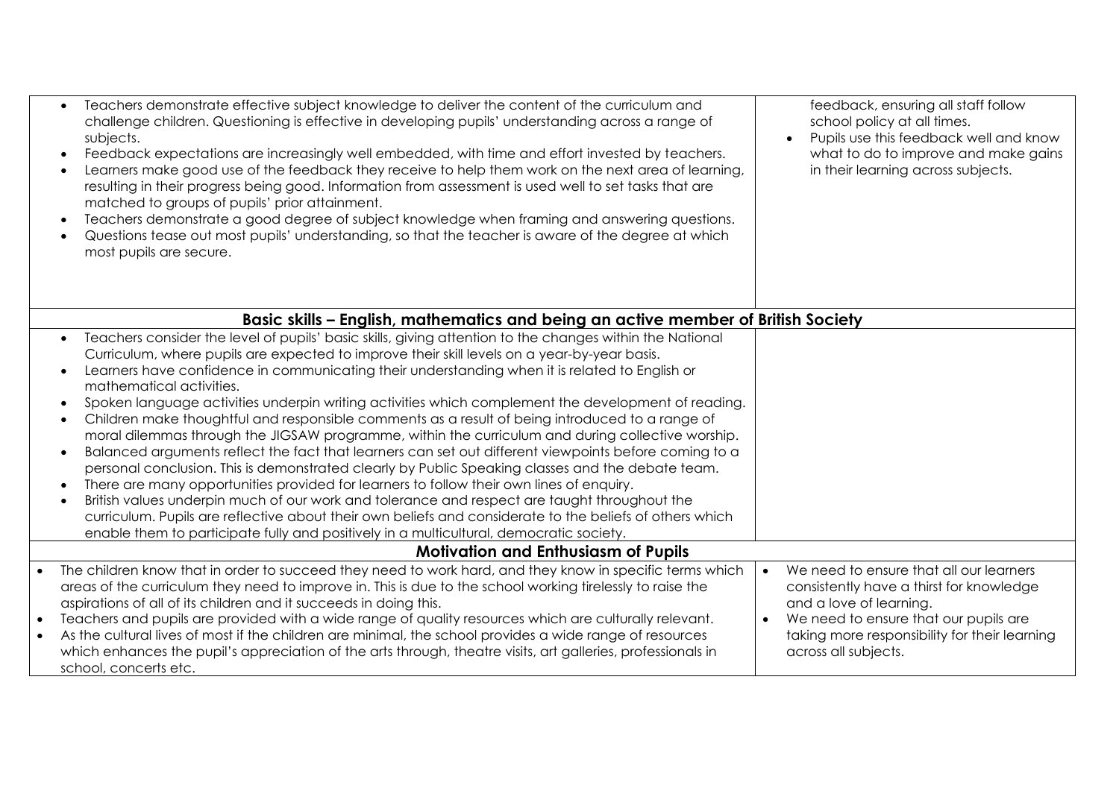| Teachers demonstrate effective subject knowledge to deliver the content of the curriculum and<br>challenge children. Questioning is effective in developing pupils' understanding across a range of<br>subjects.<br>Feedback expectations are increasingly well embedded, with time and effort invested by teachers.<br>Learners make good use of the feedback they receive to help them work on the next area of learning,<br>resulting in their progress being good. Information from assessment is used well to set tasks that are<br>matched to groups of pupils' prior attainment.<br>Teachers demonstrate a good degree of subject knowledge when framing and answering questions.<br>Questions tease out most pupils' understanding, so that the teacher is aware of the degree at which<br>most pupils are secure.                                                                                                                                                                                                                                                                                                                                                                                                                                             | feedback, ensuring all staff follow<br>school policy at all times.<br>Pupils use this feedback well and know<br>what to do to improve and make gains<br>in their learning across subjects.                                                                 |
|------------------------------------------------------------------------------------------------------------------------------------------------------------------------------------------------------------------------------------------------------------------------------------------------------------------------------------------------------------------------------------------------------------------------------------------------------------------------------------------------------------------------------------------------------------------------------------------------------------------------------------------------------------------------------------------------------------------------------------------------------------------------------------------------------------------------------------------------------------------------------------------------------------------------------------------------------------------------------------------------------------------------------------------------------------------------------------------------------------------------------------------------------------------------------------------------------------------------------------------------------------------------|------------------------------------------------------------------------------------------------------------------------------------------------------------------------------------------------------------------------------------------------------------|
| Basic skills - English, mathematics and being an active member of British Society                                                                                                                                                                                                                                                                                                                                                                                                                                                                                                                                                                                                                                                                                                                                                                                                                                                                                                                                                                                                                                                                                                                                                                                      |                                                                                                                                                                                                                                                            |
| Teachers consider the level of pupils' basic skills, giving attention to the changes within the National<br>Curriculum, where pupils are expected to improve their skill levels on a year-by-year basis.<br>Learners have confidence in communicating their understanding when it is related to English or<br>mathematical activities.<br>Spoken language activities underpin writing activities which complement the development of reading.<br>Children make thoughtful and responsible comments as a result of being introduced to a range of<br>moral dilemmas through the JIGSAW programme, within the curriculum and during collective worship.<br>Balanced arguments reflect the fact that learners can set out different viewpoints before coming to a<br>personal conclusion. This is demonstrated clearly by Public Speaking classes and the debate team.<br>There are many opportunities provided for learners to follow their own lines of enquiry.<br>British values underpin much of our work and tolerance and respect are taught throughout the<br>curriculum. Pupils are reflective about their own beliefs and considerate to the beliefs of others which<br>enable them to participate fully and positively in a multicultural, democratic society. |                                                                                                                                                                                                                                                            |
| <b>Motivation and Enthusiasm of Pupils</b>                                                                                                                                                                                                                                                                                                                                                                                                                                                                                                                                                                                                                                                                                                                                                                                                                                                                                                                                                                                                                                                                                                                                                                                                                             |                                                                                                                                                                                                                                                            |
| The children know that in order to succeed they need to work hard, and they know in specific terms which<br>areas of the curriculum they need to improve in. This is due to the school working tirelessly to raise the<br>aspirations of all of its children and it succeeds in doing this.<br>Teachers and pupils are provided with a wide range of quality resources which are culturally relevant.<br>$\bullet$<br>As the cultural lives of most if the children are minimal, the school provides a wide range of resources<br>which enhances the pupil's appreciation of the arts through, theatre visits, art galleries, professionals in<br>school, concerts etc.                                                                                                                                                                                                                                                                                                                                                                                                                                                                                                                                                                                                | We need to ensure that all our learners<br>$\bullet$<br>consistently have a thirst for knowledge<br>and a love of learning.<br>We need to ensure that our pupils are<br>$\bullet$<br>taking more responsibility for their learning<br>across all subjects. |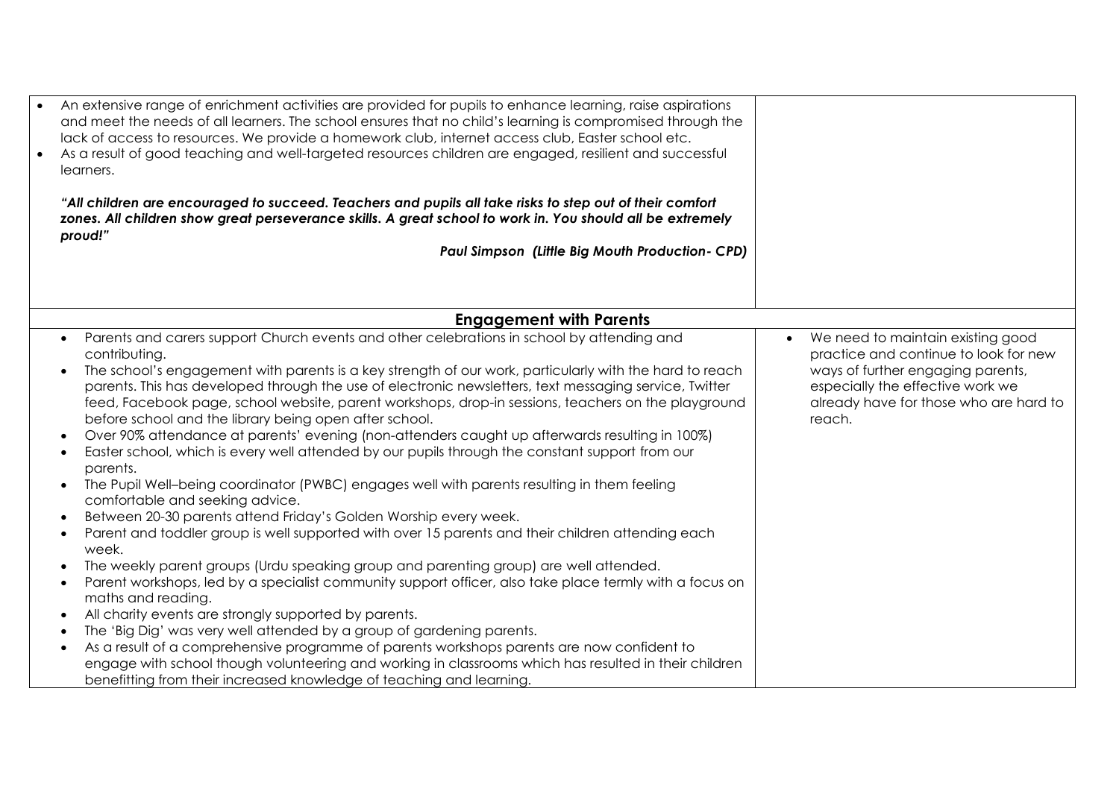| $\bullet$ | An extensive range of enrichment activities are provided for pupils to enhance learning, raise aspirations<br>and meet the needs of all learners. The school ensures that no child's learning is compromised through the<br>lack of access to resources. We provide a homework club, internet access club, Easter school etc.<br>As a result of good teaching and well-targeted resources children are engaged, resilient and successful<br>learners.<br>"All children are encouraged to succeed. Teachers and pupils all take risks to step out of their comfort<br>zones. All children show great perseverance skills. A great school to work in. You should all be extremely<br>proud!"<br>Paul Simpson (Little Big Mouth Production- CPD)                                                                                                                                                                                                                                                                                                                                                                                                                                                                                                                                                                                                                                                                                                                                                                                                                                                                                                                                     |                                                                                                                                                                                                         |
|-----------|-----------------------------------------------------------------------------------------------------------------------------------------------------------------------------------------------------------------------------------------------------------------------------------------------------------------------------------------------------------------------------------------------------------------------------------------------------------------------------------------------------------------------------------------------------------------------------------------------------------------------------------------------------------------------------------------------------------------------------------------------------------------------------------------------------------------------------------------------------------------------------------------------------------------------------------------------------------------------------------------------------------------------------------------------------------------------------------------------------------------------------------------------------------------------------------------------------------------------------------------------------------------------------------------------------------------------------------------------------------------------------------------------------------------------------------------------------------------------------------------------------------------------------------------------------------------------------------------------------------------------------------------------------------------------------------|---------------------------------------------------------------------------------------------------------------------------------------------------------------------------------------------------------|
|           | <b>Engagement with Parents</b>                                                                                                                                                                                                                                                                                                                                                                                                                                                                                                                                                                                                                                                                                                                                                                                                                                                                                                                                                                                                                                                                                                                                                                                                                                                                                                                                                                                                                                                                                                                                                                                                                                                    |                                                                                                                                                                                                         |
|           | Parents and carers support Church events and other celebrations in school by attending and<br>contributing.<br>The school's engagement with parents is a key strength of our work, particularly with the hard to reach<br>parents. This has developed through the use of electronic newsletters, text messaging service, Twitter<br>feed, Facebook page, school website, parent workshops, drop-in sessions, teachers on the playground<br>before school and the library being open after school.<br>Over 90% attendance at parents' evening (non-attenders caught up afterwards resulting in 100%)<br>Easter school, which is every well attended by our pupils through the constant support from our<br>parents.<br>The Pupil Well-being coordinator (PWBC) engages well with parents resulting in them feeling<br>comfortable and seeking advice.<br>Between 20-30 parents attend Friday's Golden Worship every week.<br>Parent and toddler group is well supported with over 15 parents and their children attending each<br>week.<br>The weekly parent groups (Urdu speaking group and parenting group) are well attended.<br>Parent workshops, led by a specialist community support officer, also take place termly with a focus on<br>maths and reading.<br>All charity events are strongly supported by parents.<br>The 'Big Dig' was very well attended by a group of gardening parents.<br>As a result of a comprehensive programme of parents workshops parents are now confident to<br>engage with school though volunteering and working in classrooms which has resulted in their children<br>benefitting from their increased knowledge of teaching and learning. | We need to maintain existing good<br>practice and continue to look for new<br>ways of further engaging parents,<br>especially the effective work we<br>already have for those who are hard to<br>reach. |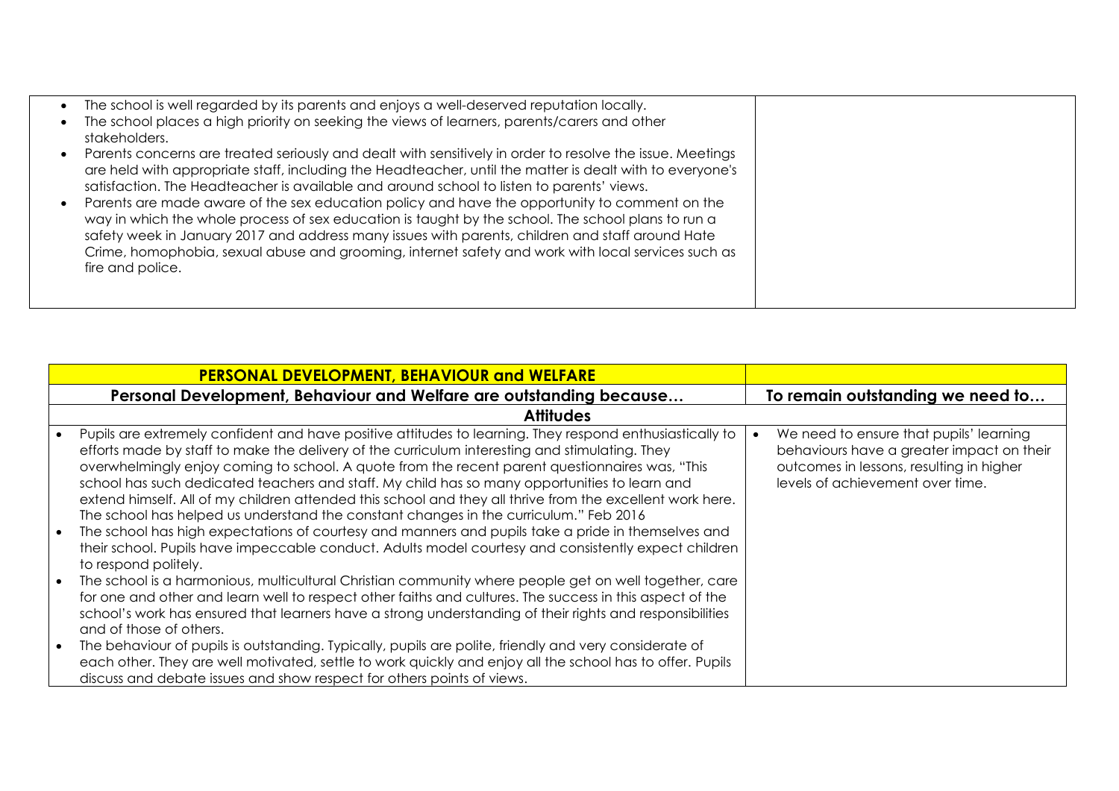| The school is well regarded by its parents and enjoys a well-deserved reputation locally.                 |  |
|-----------------------------------------------------------------------------------------------------------|--|
| The school places a high priority on seeking the views of learners, parents/carers and other              |  |
| stakeholders.                                                                                             |  |
| Parents concerns are treated seriously and dealt with sensitively in order to resolve the issue. Meetings |  |
| are held with appropriate staff, including the Headteacher, until the matter is dealt with to everyone's  |  |
| satisfaction. The Headteacher is available and around school to listen to parents' views.                 |  |
| Parents are made aware of the sex education policy and have the opportunity to comment on the             |  |
| way in which the whole process of sex education is taught by the school. The school plans to run a        |  |
| safety week in January 2017 and address many issues with parents, children and staff around Hate          |  |
| Crime, homophobia, sexual abuse and grooming, internet safety and work with local services such as        |  |
| fire and police.                                                                                          |  |
|                                                                                                           |  |
|                                                                                                           |  |

| <b>PERSONAL DEVELOPMENT, BEHAVIOUR and WELFARE</b>                                                                                                                                                                                                                                                                                                                                                                                                                                                                                                                                                                                                                                                                                                                                                                                                                                                                                                                                                                                                                                                                                                                                                                                                                                                                                                                                                                                                                                                                                                             |                                                                                                                                                                      |
|----------------------------------------------------------------------------------------------------------------------------------------------------------------------------------------------------------------------------------------------------------------------------------------------------------------------------------------------------------------------------------------------------------------------------------------------------------------------------------------------------------------------------------------------------------------------------------------------------------------------------------------------------------------------------------------------------------------------------------------------------------------------------------------------------------------------------------------------------------------------------------------------------------------------------------------------------------------------------------------------------------------------------------------------------------------------------------------------------------------------------------------------------------------------------------------------------------------------------------------------------------------------------------------------------------------------------------------------------------------------------------------------------------------------------------------------------------------------------------------------------------------------------------------------------------------|----------------------------------------------------------------------------------------------------------------------------------------------------------------------|
| Personal Development, Behaviour and Welfare are outstanding because                                                                                                                                                                                                                                                                                                                                                                                                                                                                                                                                                                                                                                                                                                                                                                                                                                                                                                                                                                                                                                                                                                                                                                                                                                                                                                                                                                                                                                                                                            | To remain outstanding we need to                                                                                                                                     |
| <b>Attitudes</b>                                                                                                                                                                                                                                                                                                                                                                                                                                                                                                                                                                                                                                                                                                                                                                                                                                                                                                                                                                                                                                                                                                                                                                                                                                                                                                                                                                                                                                                                                                                                               |                                                                                                                                                                      |
| Pupils are extremely confident and have positive attitudes to learning. They respond enthusiastically to<br>efforts made by staff to make the delivery of the curriculum interesting and stimulating. They<br>overwhelmingly enjoy coming to school. A quote from the recent parent questionnaires was, "This<br>school has such dedicated teachers and staff. My child has so many opportunities to learn and<br>extend himself. All of my children attended this school and they all thrive from the excellent work here.<br>The school has helped us understand the constant changes in the curriculum." Feb 2016<br>The school has high expectations of courtesy and manners and pupils take a pride in themselves and<br>$\bullet$<br>their school. Pupils have impeccable conduct. Adults model courtesy and consistently expect children<br>to respond politely.<br>The school is a harmonious, multicultural Christian community where people get on well together, care<br>$\bullet$<br>for one and other and learn well to respect other faiths and cultures. The success in this aspect of the<br>school's work has ensured that learners have a strong understanding of their rights and responsibilities<br>and of those of others.<br>The behaviour of pupils is outstanding. Typically, pupils are polite, friendly and very considerate of<br>$\bullet$<br>each other. They are well motivated, settle to work quickly and enjoy all the school has to offer. Pupils<br>discuss and debate issues and show respect for others points of views. | We need to ensure that pupils' learning<br>behaviours have a greater impact on their<br>outcomes in lessons, resulting in higher<br>levels of achievement over time. |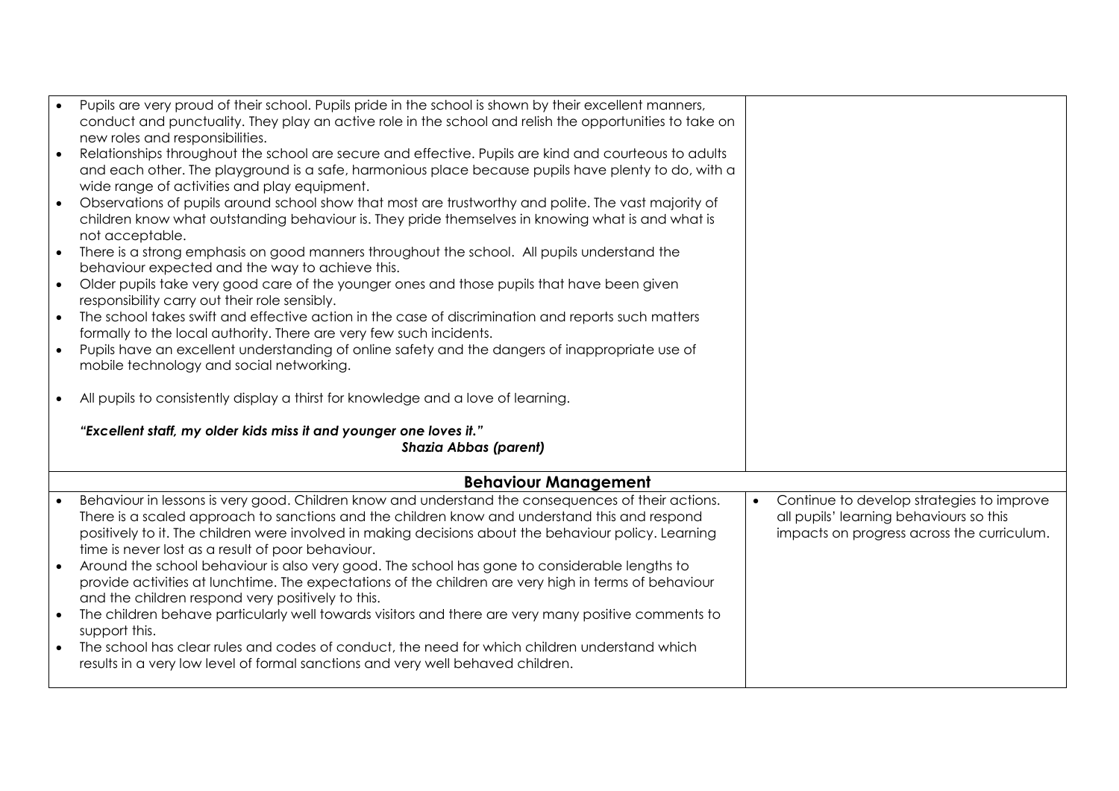|           | Pupils are very proud of their school. Pupils pride in the school is shown by their excellent manners,                                                                                                    |                                                        |
|-----------|-----------------------------------------------------------------------------------------------------------------------------------------------------------------------------------------------------------|--------------------------------------------------------|
|           | conduct and punctuality. They play an active role in the school and relish the opportunities to take on                                                                                                   |                                                        |
|           | new roles and responsibilities.                                                                                                                                                                           |                                                        |
| $\bullet$ | Relationships throughout the school are secure and effective. Pupils are kind and courteous to adults                                                                                                     |                                                        |
|           | and each other. The playground is a safe, harmonious place because pupils have plenty to do, with a                                                                                                       |                                                        |
| $\bullet$ | wide range of activities and play equipment.                                                                                                                                                              |                                                        |
|           | Observations of pupils around school show that most are trustworthy and polite. The vast majority of<br>children know what outstanding behaviour is. They pride themselves in knowing what is and what is |                                                        |
|           | not acceptable.                                                                                                                                                                                           |                                                        |
| $\bullet$ | There is a strong emphasis on good manners throughout the school. All pupils understand the                                                                                                               |                                                        |
|           | behaviour expected and the way to achieve this.                                                                                                                                                           |                                                        |
| $\bullet$ | Older pupils take very good care of the younger ones and those pupils that have been given                                                                                                                |                                                        |
|           | responsibility carry out their role sensibly.                                                                                                                                                             |                                                        |
|           | The school takes swift and effective action in the case of discrimination and reports such matters                                                                                                        |                                                        |
|           | formally to the local authority. There are very few such incidents.                                                                                                                                       |                                                        |
|           | Pupils have an excellent understanding of online safety and the dangers of inappropriate use of                                                                                                           |                                                        |
|           | mobile technology and social networking.                                                                                                                                                                  |                                                        |
|           | All pupils to consistently display a thirst for knowledge and a love of learning.                                                                                                                         |                                                        |
|           |                                                                                                                                                                                                           |                                                        |
|           | "Excellent staff, my older kids miss it and younger one loves it."<br><b>Shazia Abbas (parent)</b>                                                                                                        |                                                        |
|           |                                                                                                                                                                                                           |                                                        |
|           | <b>Behaviour Management</b>                                                                                                                                                                               |                                                        |
|           | Behaviour in lessons is very good. Children know and understand the consequences of their actions.                                                                                                        | Continue to develop strategies to improve<br>$\bullet$ |
|           | There is a scaled approach to sanctions and the children know and understand this and respond                                                                                                             | all pupils' learning behaviours so this                |
|           | positively to it. The children were involved in making decisions about the behaviour policy. Learning                                                                                                     | impacts on progress across the curriculum.             |
|           | time is never lost as a result of poor behaviour.                                                                                                                                                         |                                                        |
|           | Around the school behaviour is also very good. The school has gone to considerable lengths to                                                                                                             |                                                        |
|           | provide activities at lunchtime. The expectations of the children are very high in terms of behaviour<br>and the children respond very positively to this.                                                |                                                        |
|           | The children behave particularly well towards visitors and there are very many positive comments to                                                                                                       |                                                        |
|           | support this.                                                                                                                                                                                             |                                                        |
|           | The school has clear rules and codes of conduct, the need for which children understand which                                                                                                             |                                                        |
|           | results in a very low level of formal sanctions and very well behaved children.                                                                                                                           |                                                        |
|           |                                                                                                                                                                                                           |                                                        |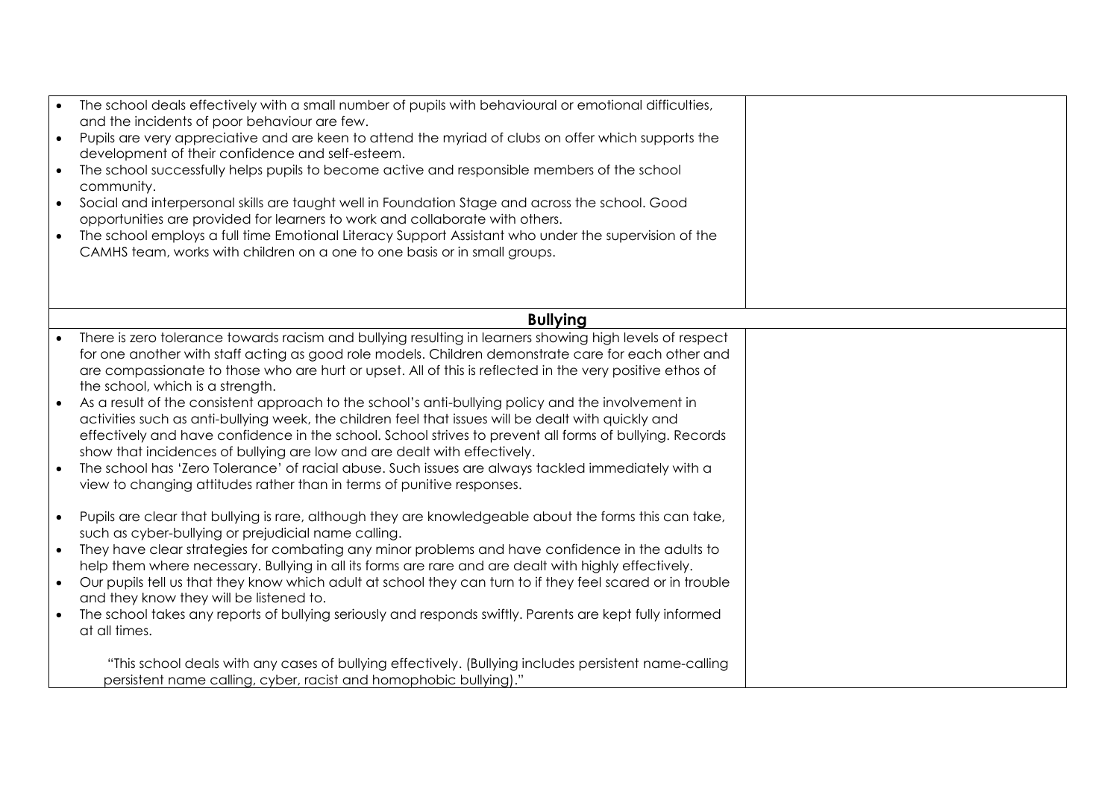|           | The school deals effectively with a small number of pupils with behavioural or emotional difficulties,                                                                              |  |
|-----------|-------------------------------------------------------------------------------------------------------------------------------------------------------------------------------------|--|
|           | and the incidents of poor behaviour are few.                                                                                                                                        |  |
| $\bullet$ | Pupils are very appreciative and are keen to attend the myriad of clubs on offer which supports the<br>development of their confidence and self-esteem.                             |  |
| $\bullet$ | The school successfully helps pupils to become active and responsible members of the school                                                                                         |  |
|           | community.                                                                                                                                                                          |  |
| $\bullet$ | Social and interpersonal skills are taught well in Foundation Stage and across the school. Good                                                                                     |  |
|           | opportunities are provided for learners to work and collaborate with others.                                                                                                        |  |
| $\bullet$ | The school employs a full time Emotional Literacy Support Assistant who under the supervision of the                                                                                |  |
|           | CAMHS team, works with children on a one to one basis or in small groups.                                                                                                           |  |
|           |                                                                                                                                                                                     |  |
|           |                                                                                                                                                                                     |  |
|           | <b>Bullying</b>                                                                                                                                                                     |  |
| $\bullet$ | There is zero tolerance towards racism and bullying resulting in learners showing high levels of respect                                                                            |  |
|           | for one another with staff acting as good role models. Children demonstrate care for each other and                                                                                 |  |
|           | are compassionate to those who are hurt or upset. All of this is reflected in the very positive ethos of                                                                            |  |
|           | the school, which is a strength.                                                                                                                                                    |  |
|           | As a result of the consistent approach to the school's anti-bullying policy and the involvement in                                                                                  |  |
|           | activities such as anti-bullying week, the children feel that issues will be dealt with quickly and                                                                                 |  |
|           | effectively and have confidence in the school. School strives to prevent all forms of bullying. Records<br>show that incidences of bullying are low and are dealt with effectively. |  |
|           | The school has 'Zero Tolerance' of racial abuse. Such issues are always tackled immediately with a                                                                                  |  |
|           | view to changing attitudes rather than in terms of punitive responses.                                                                                                              |  |
|           |                                                                                                                                                                                     |  |
| $\bullet$ | Pupils are clear that bullying is rare, although they are knowledgeable about the forms this can take,                                                                              |  |
|           | such as cyber-bullying or prejudicial name calling.                                                                                                                                 |  |
|           | They have clear strategies for combating any minor problems and have confidence in the adults to                                                                                    |  |
|           | help them where necessary. Bullying in all its forms are rare and are dealt with highly effectively.                                                                                |  |
|           | Our pupils tell us that they know which adult at school they can turn to if they feel scared or in trouble<br>and they know they will be listened to.                               |  |
|           | The school takes any reports of bullying seriously and responds swiftly. Parents are kept fully informed                                                                            |  |
|           | at all times.                                                                                                                                                                       |  |
|           |                                                                                                                                                                                     |  |
|           | "This school deals with any cases of bullying effectively. (Bullying includes persistent name-calling                                                                               |  |
|           | persistent name calling, cyber, racist and homophobic bullying)."                                                                                                                   |  |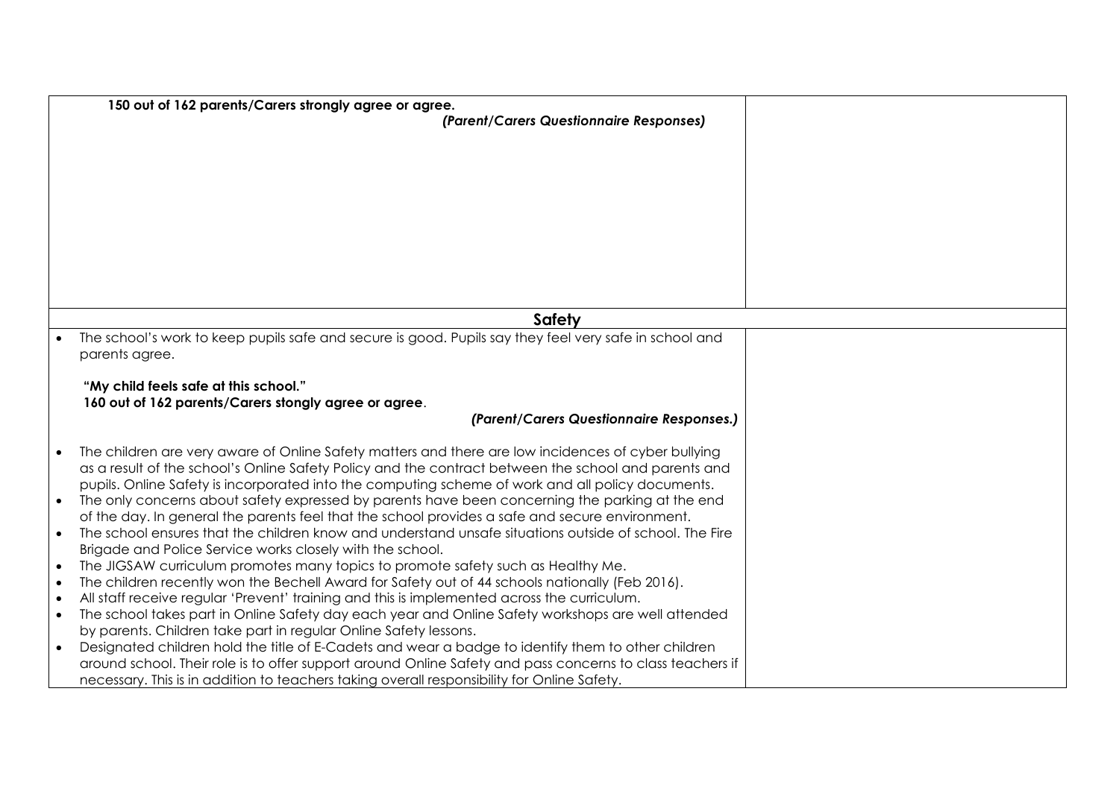|           | 150 out of 162 parents/Carers strongly agree or agree.                                                    |  |
|-----------|-----------------------------------------------------------------------------------------------------------|--|
|           | (Parent/Carers Questionnaire Responses)                                                                   |  |
|           |                                                                                                           |  |
|           |                                                                                                           |  |
|           |                                                                                                           |  |
|           |                                                                                                           |  |
|           |                                                                                                           |  |
|           |                                                                                                           |  |
|           |                                                                                                           |  |
|           |                                                                                                           |  |
|           |                                                                                                           |  |
|           |                                                                                                           |  |
|           |                                                                                                           |  |
|           | Safety                                                                                                    |  |
|           | The school's work to keep pupils safe and secure is good. Pupils say they feel very safe in school and    |  |
|           | parents agree.                                                                                            |  |
|           |                                                                                                           |  |
|           | "My child feels safe at this school."                                                                     |  |
|           | 160 out of 162 parents/Carers stongly agree or agree.<br>(Parent/Carers Questionnaire Responses.)         |  |
|           |                                                                                                           |  |
|           | The children are very aware of Online Safety matters and there are low incidences of cyber bullying       |  |
|           | as a result of the school's Online Safety Policy and the contract between the school and parents and      |  |
|           | pupils. Online Safety is incorporated into the computing scheme of work and all policy documents.         |  |
|           | The only concerns about safety expressed by parents have been concerning the parking at the end           |  |
|           | of the day. In general the parents feel that the school provides a safe and secure environment.           |  |
|           | The school ensures that the children know and understand unsafe situations outside of school. The Fire    |  |
|           | Brigade and Police Service works closely with the school.                                                 |  |
|           | The JIGSAW curriculum promotes many topics to promote safety such as Healthy Me.                          |  |
| $\bullet$ | The children recently won the Bechell Award for Safety out of 44 schools nationally (Feb 2016).           |  |
|           | All staff receive regular 'Prevent' training and this is implemented across the curriculum.               |  |
| $\bullet$ | The school takes part in Online Safety day each year and Online Safety workshops are well attended        |  |
|           | by parents. Children take part in regular Online Safety lessons.                                          |  |
| $\bullet$ | Designated children hold the title of E-Cadets and wear a badge to identify them to other children        |  |
|           | around school. Their role is to offer support around Online Safety and pass concerns to class teachers if |  |
|           | necessary. This is in addition to teachers taking overall responsibility for Online Safety.               |  |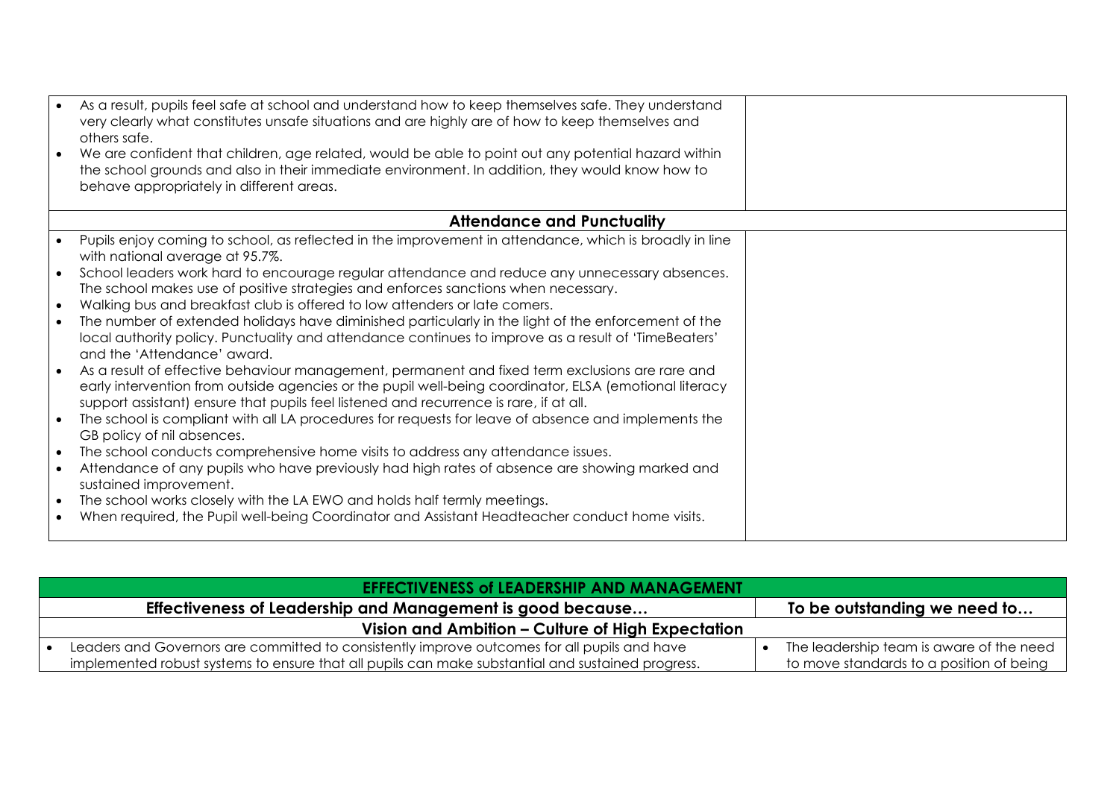|           | As a result, pupils feel safe at school and understand how to keep themselves safe. They understand<br>very clearly what constitutes unsafe situations and are highly are of how to keep themselves and<br>others safe.<br>We are confident that children, age related, would be able to point out any potential hazard within<br>the school grounds and also in their immediate environment. In addition, they would know how to<br>behave appropriately in different areas. |
|-----------|-------------------------------------------------------------------------------------------------------------------------------------------------------------------------------------------------------------------------------------------------------------------------------------------------------------------------------------------------------------------------------------------------------------------------------------------------------------------------------|
|           |                                                                                                                                                                                                                                                                                                                                                                                                                                                                               |
|           | <b>Attendance and Punctuality</b>                                                                                                                                                                                                                                                                                                                                                                                                                                             |
|           | Pupils enjoy coming to school, as reflected in the improvement in attendance, which is broadly in line<br>with national average at 95.7%.                                                                                                                                                                                                                                                                                                                                     |
|           | School leaders work hard to encourage regular attendance and reduce any unnecessary absences.<br>The school makes use of positive strategies and enforces sanctions when necessary.                                                                                                                                                                                                                                                                                           |
| $\bullet$ | Walking bus and breakfast club is offered to low attenders or late comers.                                                                                                                                                                                                                                                                                                                                                                                                    |
| $\bullet$ | The number of extended holidays have diminished particularly in the light of the enforcement of the<br>local authority policy. Punctuality and attendance continues to improve as a result of 'TimeBeaters'<br>and the 'Attendance' award.                                                                                                                                                                                                                                    |
|           | As a result of effective behaviour management, permanent and fixed term exclusions are rare and<br>early intervention from outside agencies or the pupil well-being coordinator, ELSA (emotional literacy<br>support assistant) ensure that pupils feel listened and recurrence is rare, if at all.                                                                                                                                                                           |
|           | The school is compliant with all LA procedures for requests for leave of absence and implements the<br>GB policy of nil absences.                                                                                                                                                                                                                                                                                                                                             |
| $\bullet$ | The school conducts comprehensive home visits to address any attendance issues.                                                                                                                                                                                                                                                                                                                                                                                               |
|           | Attendance of any pupils who have previously had high rates of absence are showing marked and<br>sustained improvement.                                                                                                                                                                                                                                                                                                                                                       |
| $\bullet$ | The school works closely with the LA EWO and holds half termly meetings.                                                                                                                                                                                                                                                                                                                                                                                                      |
|           | When required, the Pupil well-being Coordinator and Assistant Headteacher conduct home visits.                                                                                                                                                                                                                                                                                                                                                                                |

| <b>EFFECTIVENESS of LEADERSHIP AND MANAGEMENT.</b>                                                |                                          |
|---------------------------------------------------------------------------------------------------|------------------------------------------|
| Effectiveness of Leadership and Management is good because                                        | To be outstanding we need to             |
| Vision and Ambition – Culture of High Expectation                                                 |                                          |
| Leaders and Governors are committed to consistently improve outcomes for all pupils and have      | The leadership team is aware of the need |
| implemented robust systems to ensure that all pupils can make substantial and sustained progress. | to move standards to a position of being |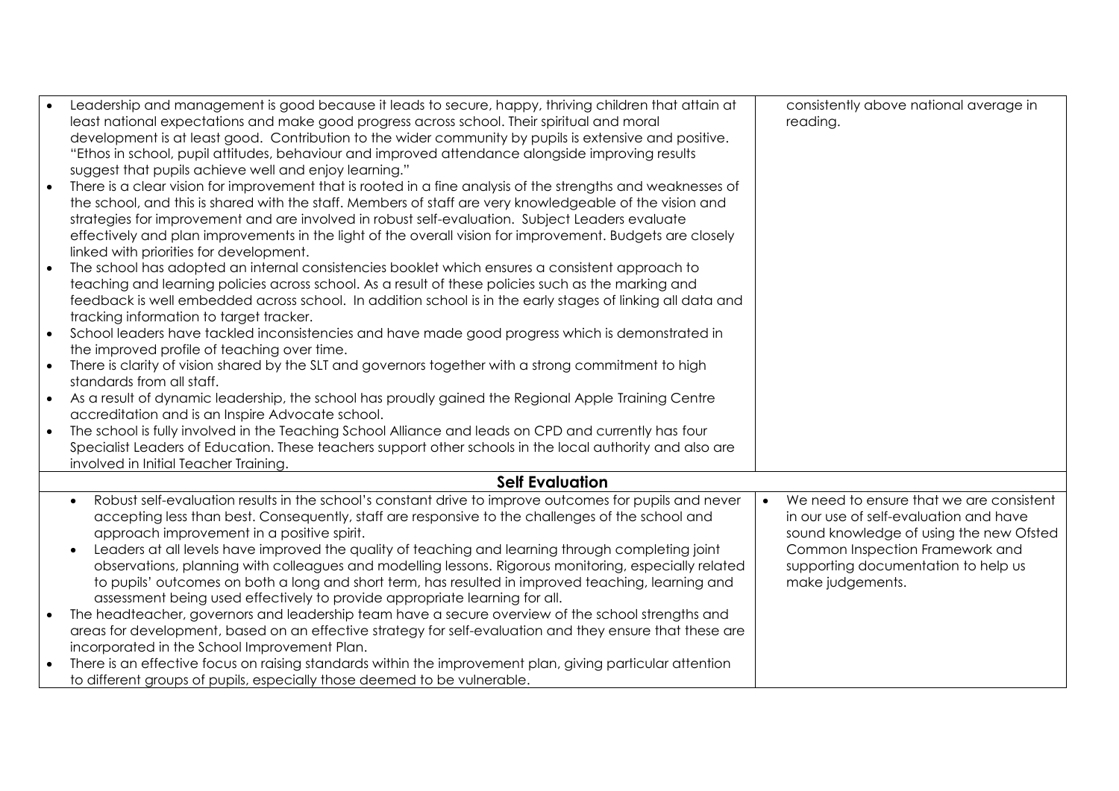| Leadership and management is good because it leads to secure, happy, thriving children that attain at               | consistently above national average in   |
|---------------------------------------------------------------------------------------------------------------------|------------------------------------------|
| least national expectations and make good progress across school. Their spiritual and moral                         | reading.                                 |
| development is at least good. Contribution to the wider community by pupils is extensive and positive.              |                                          |
| "Ethos in school, pupil attitudes, behaviour and improved attendance alongside improving results                    |                                          |
| suggest that pupils achieve well and enjoy learning."                                                               |                                          |
| There is a clear vision for improvement that is rooted in a fine analysis of the strengths and weaknesses of        |                                          |
| the school, and this is shared with the staff. Members of staff are very knowledgeable of the vision and            |                                          |
| strategies for improvement and are involved in robust self-evaluation. Subject Leaders evaluate                     |                                          |
| effectively and plan improvements in the light of the overall vision for improvement. Budgets are closely           |                                          |
| linked with priorities for development.                                                                             |                                          |
| The school has adopted an internal consistencies booklet which ensures a consistent approach to                     |                                          |
| teaching and learning policies across school. As a result of these policies such as the marking and                 |                                          |
| feedback is well embedded across school. In addition school is in the early stages of linking all data and          |                                          |
| tracking information to target tracker.                                                                             |                                          |
| School leaders have tackled inconsistencies and have made good progress which is demonstrated in                    |                                          |
| the improved profile of teaching over time.                                                                         |                                          |
| There is clarity of vision shared by the SLT and governors together with a strong commitment to high                |                                          |
| standards from all staff.                                                                                           |                                          |
| As a result of dynamic leadership, the school has proudly gained the Regional Apple Training Centre                 |                                          |
| accreditation and is an Inspire Advocate school.                                                                    |                                          |
| The school is fully involved in the Teaching School Alliance and leads on CPD and currently has four                |                                          |
| Specialist Leaders of Education. These teachers support other schools in the local authority and also are           |                                          |
| involved in Initial Teacher Training.                                                                               |                                          |
| <b>Self Evaluation</b>                                                                                              |                                          |
| Robust self-evaluation results in the school's constant drive to improve outcomes for pupils and never<br>$\bullet$ | We need to ensure that we are consistent |
| accepting less than best. Consequently, staff are responsive to the challenges of the school and                    | in our use of self-evaluation and have   |
| approach improvement in a positive spirit.                                                                          | sound knowledge of using the new Ofsted  |
| Leaders at all levels have improved the quality of teaching and learning through completing joint<br>$\bullet$      | Common Inspection Framework and          |
| observations, planning with colleagues and modelling lessons. Rigorous monitoring, especially related               | supporting documentation to help us      |
| to pupils' outcomes on both a long and short term, has resulted in improved teaching, learning and                  | make judgements.                         |
| assessment being used effectively to provide appropriate learning for all.                                          |                                          |
| The headteacher, governors and leadership team have a secure overview of the school strengths and                   |                                          |
| areas for development, based on an effective strategy for self-evaluation and they ensure that these are            |                                          |
| incorporated in the School Improvement Plan.                                                                        |                                          |
| There is an effective focus on raising standards within the improvement plan, giving particular attention           |                                          |
| to different groups of pupils, especially those deemed to be vulnerable.                                            |                                          |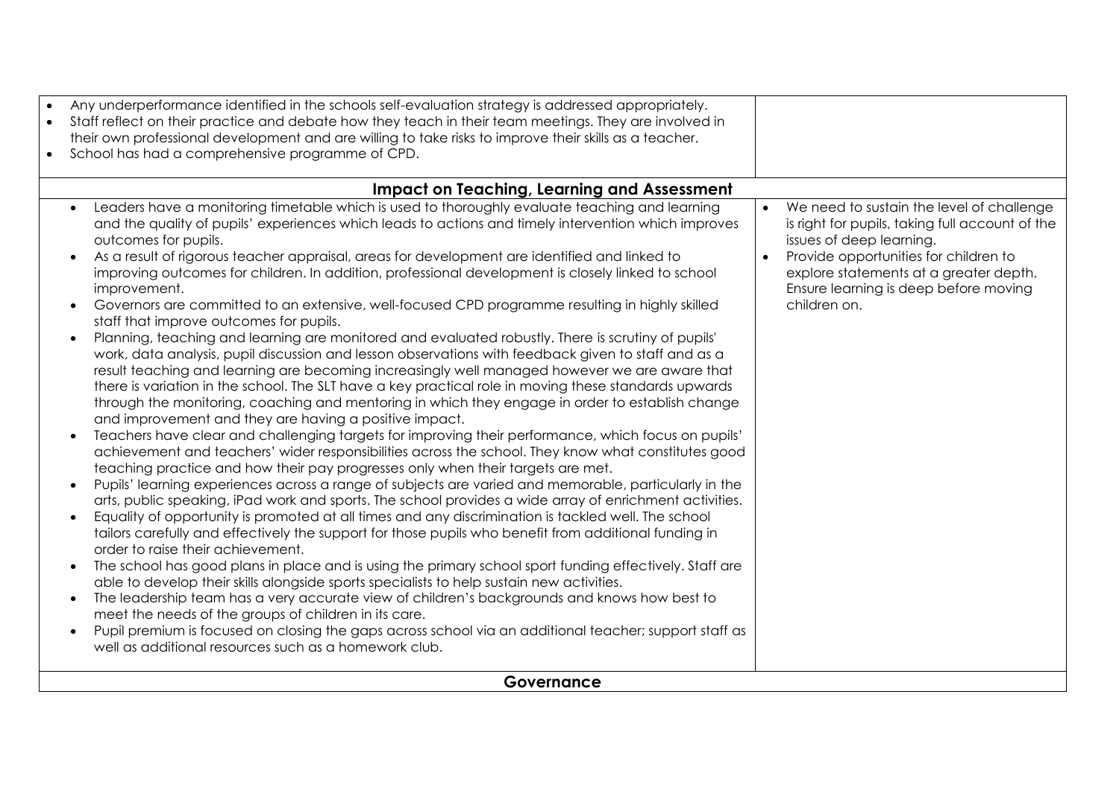| Any underperformance identified in the schools self-evaluation strategy is addressed appropriately.<br>Staff reflect on their practice and debate how they teach in their team meetings. They are involved in<br>$\bullet$<br>their own professional development and are willing to take risks to improve their skills as a teacher.<br>School has had a comprehensive programme of CPD.<br>$\bullet$                                                                                                                                                                                                                                                                                                                                                                                                                                                                                                                                                                                                                                                                                                                                                                                                                                                                                                                                                                                                                                                                                                                                                                                                                                                                                                                                                                                                                                                                                                                                                                                                                                                                                                                                                                                                                                                                                                                                                                                                                                                                                                  |                                                                                                                                                                                                                                                                                                |
|--------------------------------------------------------------------------------------------------------------------------------------------------------------------------------------------------------------------------------------------------------------------------------------------------------------------------------------------------------------------------------------------------------------------------------------------------------------------------------------------------------------------------------------------------------------------------------------------------------------------------------------------------------------------------------------------------------------------------------------------------------------------------------------------------------------------------------------------------------------------------------------------------------------------------------------------------------------------------------------------------------------------------------------------------------------------------------------------------------------------------------------------------------------------------------------------------------------------------------------------------------------------------------------------------------------------------------------------------------------------------------------------------------------------------------------------------------------------------------------------------------------------------------------------------------------------------------------------------------------------------------------------------------------------------------------------------------------------------------------------------------------------------------------------------------------------------------------------------------------------------------------------------------------------------------------------------------------------------------------------------------------------------------------------------------------------------------------------------------------------------------------------------------------------------------------------------------------------------------------------------------------------------------------------------------------------------------------------------------------------------------------------------------------------------------------------------------------------------------------------------------|------------------------------------------------------------------------------------------------------------------------------------------------------------------------------------------------------------------------------------------------------------------------------------------------|
| <b>Impact on Teaching, Learning and Assessment</b>                                                                                                                                                                                                                                                                                                                                                                                                                                                                                                                                                                                                                                                                                                                                                                                                                                                                                                                                                                                                                                                                                                                                                                                                                                                                                                                                                                                                                                                                                                                                                                                                                                                                                                                                                                                                                                                                                                                                                                                                                                                                                                                                                                                                                                                                                                                                                                                                                                                     |                                                                                                                                                                                                                                                                                                |
| Leaders have a monitoring timetable which is used to thoroughly evaluate teaching and learning<br>and the quality of pupils' experiences which leads to actions and timely intervention which improves<br>outcomes for pupils.<br>As a result of rigorous teacher appraisal, areas for development are identified and linked to<br>improving outcomes for children. In addition, professional development is closely linked to school<br>improvement.<br>Governors are committed to an extensive, well-focused CPD programme resulting in highly skilled<br>staff that improve outcomes for pupils.<br>Planning, teaching and learning are monitored and evaluated robustly. There is scrutiny of pupils'<br>work, data analysis, pupil discussion and lesson observations with feedback given to staff and as a<br>result teaching and learning are becoming increasingly well managed however we are aware that<br>there is variation in the school. The SLT have a key practical role in moving these standards upwards<br>through the monitoring, coaching and mentoring in which they engage in order to establish change<br>and improvement and they are having a positive impact.<br>Teachers have clear and challenging targets for improving their performance, which focus on pupils'<br>achievement and teachers' wider responsibilities across the school. They know what constitutes good<br>teaching practice and how their pay progresses only when their targets are met.<br>Pupils' learning experiences across a range of subjects are varied and memorable, particularly in the<br>arts, public speaking, iPad work and sports. The school provides a wide array of enrichment activities.<br>Equality of opportunity is promoted at all times and any discrimination is tackled well. The school<br>tailors carefully and effectively the support for those pupils who benefit from additional funding in<br>order to raise their achievement.<br>The school has good plans in place and is using the primary school sport funding effectively. Staff are<br>able to develop their skills alongside sports specialists to help sustain new activities.<br>The leadership team has a very accurate view of children's backgrounds and knows how best to<br>meet the needs of the groups of children in its care.<br>Pupil premium is focused on closing the gaps across school via an additional teacher; support staff as<br>well as additional resources such as a homework club. | We need to sustain the level of challenge<br>$\bullet$<br>is right for pupils, taking full account of the<br>issues of deep learning.<br>Provide opportunities for children to<br>$\bullet$<br>explore statements at a greater depth.<br>Ensure learning is deep before moving<br>children on. |
| Governance                                                                                                                                                                                                                                                                                                                                                                                                                                                                                                                                                                                                                                                                                                                                                                                                                                                                                                                                                                                                                                                                                                                                                                                                                                                                                                                                                                                                                                                                                                                                                                                                                                                                                                                                                                                                                                                                                                                                                                                                                                                                                                                                                                                                                                                                                                                                                                                                                                                                                             |                                                                                                                                                                                                                                                                                                |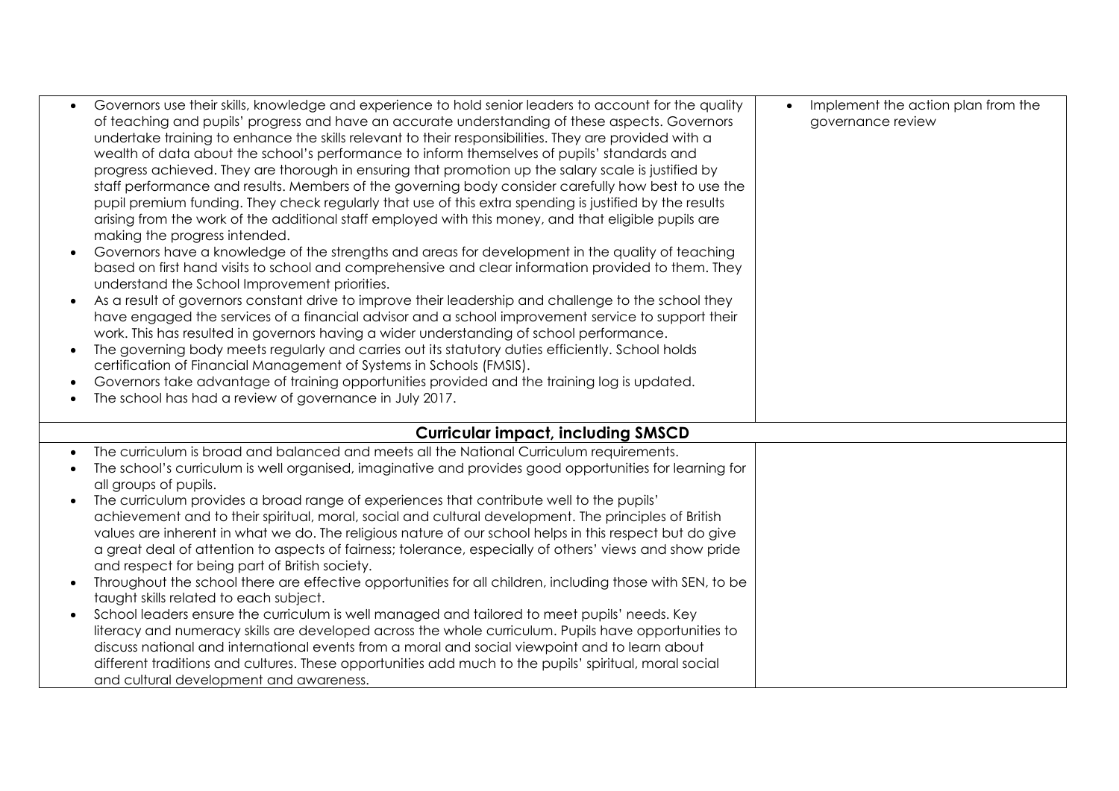| $\bullet$ | Governors use their skills, knowledge and experience to hold senior leaders to account for the quality<br>of teaching and pupils' progress and have an accurate understanding of these aspects. Governors<br>undertake training to enhance the skills relevant to their responsibilities. They are provided with a<br>wealth of data about the school's performance to inform themselves of pupils' standards and<br>progress achieved. They are thorough in ensuring that promotion up the salary scale is justified by<br>staff performance and results. Members of the governing body consider carefully how best to use the<br>pupil premium funding. They check regularly that use of this extra spending is justified by the results<br>arising from the work of the additional staff employed with this money, and that eligible pupils are<br>making the progress intended.<br>Governors have a knowledge of the strengths and areas for development in the quality of teaching<br>based on first hand visits to school and comprehensive and clear information provided to them. They<br>understand the School Improvement priorities.<br>As a result of governors constant drive to improve their leadership and challenge to the school they<br>have engaged the services of a financial advisor and a school improvement service to support their<br>work. This has resulted in governors having a wider understanding of school performance.<br>The governing body meets regularly and carries out its statutory duties efficiently. School holds<br>certification of Financial Management of Systems in Schools (FMSIS).<br>Governors take advantage of training opportunities provided and the training log is updated.<br>The school has had a review of governance in July 2017. | Implement the action plan from the<br>$\bullet$<br>governance review |
|-----------|---------------------------------------------------------------------------------------------------------------------------------------------------------------------------------------------------------------------------------------------------------------------------------------------------------------------------------------------------------------------------------------------------------------------------------------------------------------------------------------------------------------------------------------------------------------------------------------------------------------------------------------------------------------------------------------------------------------------------------------------------------------------------------------------------------------------------------------------------------------------------------------------------------------------------------------------------------------------------------------------------------------------------------------------------------------------------------------------------------------------------------------------------------------------------------------------------------------------------------------------------------------------------------------------------------------------------------------------------------------------------------------------------------------------------------------------------------------------------------------------------------------------------------------------------------------------------------------------------------------------------------------------------------------------------------------------------------------------------------------------------------------------------------------------------|----------------------------------------------------------------------|
|           | <b>Curricular impact, including SMSCD</b>                                                                                                                                                                                                                                                                                                                                                                                                                                                                                                                                                                                                                                                                                                                                                                                                                                                                                                                                                                                                                                                                                                                                                                                                                                                                                                                                                                                                                                                                                                                                                                                                                                                                                                                                                         |                                                                      |
|           | The curriculum is broad and balanced and meets all the National Curriculum requirements.                                                                                                                                                                                                                                                                                                                                                                                                                                                                                                                                                                                                                                                                                                                                                                                                                                                                                                                                                                                                                                                                                                                                                                                                                                                                                                                                                                                                                                                                                                                                                                                                                                                                                                          |                                                                      |
|           | The school's curriculum is well organised, imaginative and provides good opportunities for learning for<br>all groups of pupils.                                                                                                                                                                                                                                                                                                                                                                                                                                                                                                                                                                                                                                                                                                                                                                                                                                                                                                                                                                                                                                                                                                                                                                                                                                                                                                                                                                                                                                                                                                                                                                                                                                                                  |                                                                      |
|           | The curriculum provides a broad range of experiences that contribute well to the pupils'                                                                                                                                                                                                                                                                                                                                                                                                                                                                                                                                                                                                                                                                                                                                                                                                                                                                                                                                                                                                                                                                                                                                                                                                                                                                                                                                                                                                                                                                                                                                                                                                                                                                                                          |                                                                      |
|           | achievement and to their spiritual, moral, social and cultural development. The principles of British                                                                                                                                                                                                                                                                                                                                                                                                                                                                                                                                                                                                                                                                                                                                                                                                                                                                                                                                                                                                                                                                                                                                                                                                                                                                                                                                                                                                                                                                                                                                                                                                                                                                                             |                                                                      |
|           | values are inherent in what we do. The religious nature of our school helps in this respect but do give<br>a great deal of attention to aspects of fairness; tolerance, especially of others' views and show pride                                                                                                                                                                                                                                                                                                                                                                                                                                                                                                                                                                                                                                                                                                                                                                                                                                                                                                                                                                                                                                                                                                                                                                                                                                                                                                                                                                                                                                                                                                                                                                                |                                                                      |
|           | and respect for being part of British society.                                                                                                                                                                                                                                                                                                                                                                                                                                                                                                                                                                                                                                                                                                                                                                                                                                                                                                                                                                                                                                                                                                                                                                                                                                                                                                                                                                                                                                                                                                                                                                                                                                                                                                                                                    |                                                                      |
| $\bullet$ | Throughout the school there are effective opportunities for all children, including those with SEN, to be<br>taught skills related to each subject.                                                                                                                                                                                                                                                                                                                                                                                                                                                                                                                                                                                                                                                                                                                                                                                                                                                                                                                                                                                                                                                                                                                                                                                                                                                                                                                                                                                                                                                                                                                                                                                                                                               |                                                                      |
| $\bullet$ | School leaders ensure the curriculum is well managed and tailored to meet pupils' needs. Key                                                                                                                                                                                                                                                                                                                                                                                                                                                                                                                                                                                                                                                                                                                                                                                                                                                                                                                                                                                                                                                                                                                                                                                                                                                                                                                                                                                                                                                                                                                                                                                                                                                                                                      |                                                                      |
|           | literacy and numeracy skills are developed across the whole curriculum. Pupils have opportunities to                                                                                                                                                                                                                                                                                                                                                                                                                                                                                                                                                                                                                                                                                                                                                                                                                                                                                                                                                                                                                                                                                                                                                                                                                                                                                                                                                                                                                                                                                                                                                                                                                                                                                              |                                                                      |
|           | discuss national and international events from a moral and social viewpoint and to learn about<br>different traditions and cultures. These opportunities add much to the pupils' spiritual, moral social                                                                                                                                                                                                                                                                                                                                                                                                                                                                                                                                                                                                                                                                                                                                                                                                                                                                                                                                                                                                                                                                                                                                                                                                                                                                                                                                                                                                                                                                                                                                                                                          |                                                                      |
|           | and cultural development and awareness.                                                                                                                                                                                                                                                                                                                                                                                                                                                                                                                                                                                                                                                                                                                                                                                                                                                                                                                                                                                                                                                                                                                                                                                                                                                                                                                                                                                                                                                                                                                                                                                                                                                                                                                                                           |                                                                      |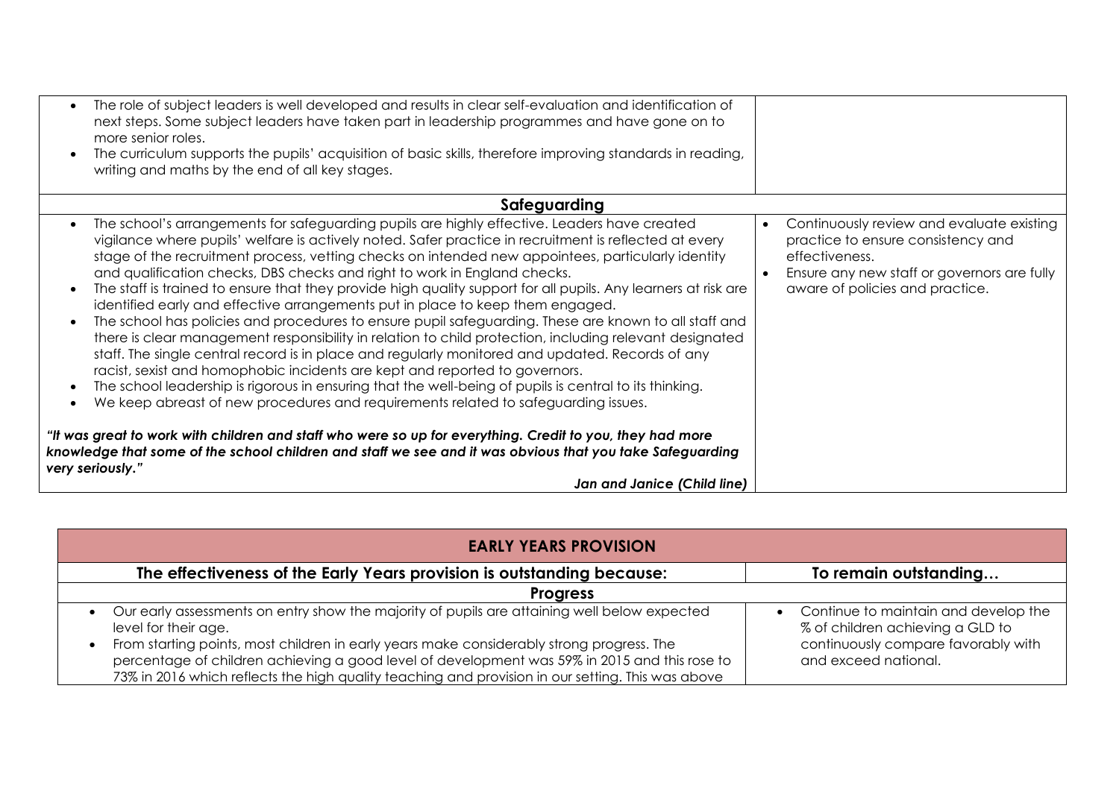| The role of subject leaders is well developed and results in clear self-evaluation and identification of<br>next steps. Some subject leaders have taken part in leadership programmes and have gone on to<br>more senior roles.<br>The curriculum supports the pupils' acquisition of basic skills, therefore improving standards in reading,<br>writing and maths by the end of all key stages.                                                                                                                                                                                                                                                                                                                                                                                                                                                                                                                                                                                                                                                                                                                                                                                                                                                                                                                                                                                                                                                    |                                                                                                                                                                                                  |
|-----------------------------------------------------------------------------------------------------------------------------------------------------------------------------------------------------------------------------------------------------------------------------------------------------------------------------------------------------------------------------------------------------------------------------------------------------------------------------------------------------------------------------------------------------------------------------------------------------------------------------------------------------------------------------------------------------------------------------------------------------------------------------------------------------------------------------------------------------------------------------------------------------------------------------------------------------------------------------------------------------------------------------------------------------------------------------------------------------------------------------------------------------------------------------------------------------------------------------------------------------------------------------------------------------------------------------------------------------------------------------------------------------------------------------------------------------|--------------------------------------------------------------------------------------------------------------------------------------------------------------------------------------------------|
| Safeguarding                                                                                                                                                                                                                                                                                                                                                                                                                                                                                                                                                                                                                                                                                                                                                                                                                                                                                                                                                                                                                                                                                                                                                                                                                                                                                                                                                                                                                                        |                                                                                                                                                                                                  |
| The school's arrangements for safeguarding pupils are highly effective. Leaders have created<br>vigilance where pupils' welfare is actively noted. Safer practice in recruitment is reflected at every<br>stage of the recruitment process, vetting checks on intended new appointees, particularly identity<br>and qualification checks, DBS checks and right to work in England checks.<br>The staff is trained to ensure that they provide high quality support for all pupils. Any learners at risk are<br>identified early and effective arrangements put in place to keep them engaged.<br>The school has policies and procedures to ensure pupil safeguarding. These are known to all staff and<br>there is clear management responsibility in relation to child protection, including relevant designated<br>staff. The single central record is in place and regularly monitored and updated. Records of any<br>racist, sexist and homophobic incidents are kept and reported to governors.<br>The school leadership is rigorous in ensuring that the well-being of pupils is central to its thinking.<br>We keep abreast of new procedures and requirements related to safeguarding issues.<br>"It was great to work with children and staff who were so up for everything. Credit to you, they had more<br>knowledge that some of the school children and staff we see and it was obvious that you take Safeguarding<br>very seriously." | Continuously review and evaluate existing<br>$\bullet$<br>practice to ensure consistency and<br>effectiveness.<br>Ensure any new staff or governors are fully<br>aware of policies and practice. |
| Jan and Janice (Child line)                                                                                                                                                                                                                                                                                                                                                                                                                                                                                                                                                                                                                                                                                                                                                                                                                                                                                                                                                                                                                                                                                                                                                                                                                                                                                                                                                                                                                         |                                                                                                                                                                                                  |

| <b>EARLY YEARS PROVISION</b>                                                                                                                                                                                                                                                                                                                                                                                                                      |                                                                                                                                           |
|---------------------------------------------------------------------------------------------------------------------------------------------------------------------------------------------------------------------------------------------------------------------------------------------------------------------------------------------------------------------------------------------------------------------------------------------------|-------------------------------------------------------------------------------------------------------------------------------------------|
| The effectiveness of the Early Years provision is outstanding because:                                                                                                                                                                                                                                                                                                                                                                            | To remain outstanding                                                                                                                     |
| <b>Progress</b>                                                                                                                                                                                                                                                                                                                                                                                                                                   |                                                                                                                                           |
| Our early assessments on entry show the majority of pupils are attaining well below expected<br>$\bullet$<br>level for their age.<br>From starting points, most children in early years make considerably strong progress. The<br>$\bullet$<br>percentage of children achieving a good level of development was 59% in 2015 and this rose to<br>73% in 2016 which reflects the high quality teaching and provision in our setting. This was above | • Continue to maintain and develop the<br>% of children achieving a GLD to<br>continuously compare favorably with<br>and exceed national. |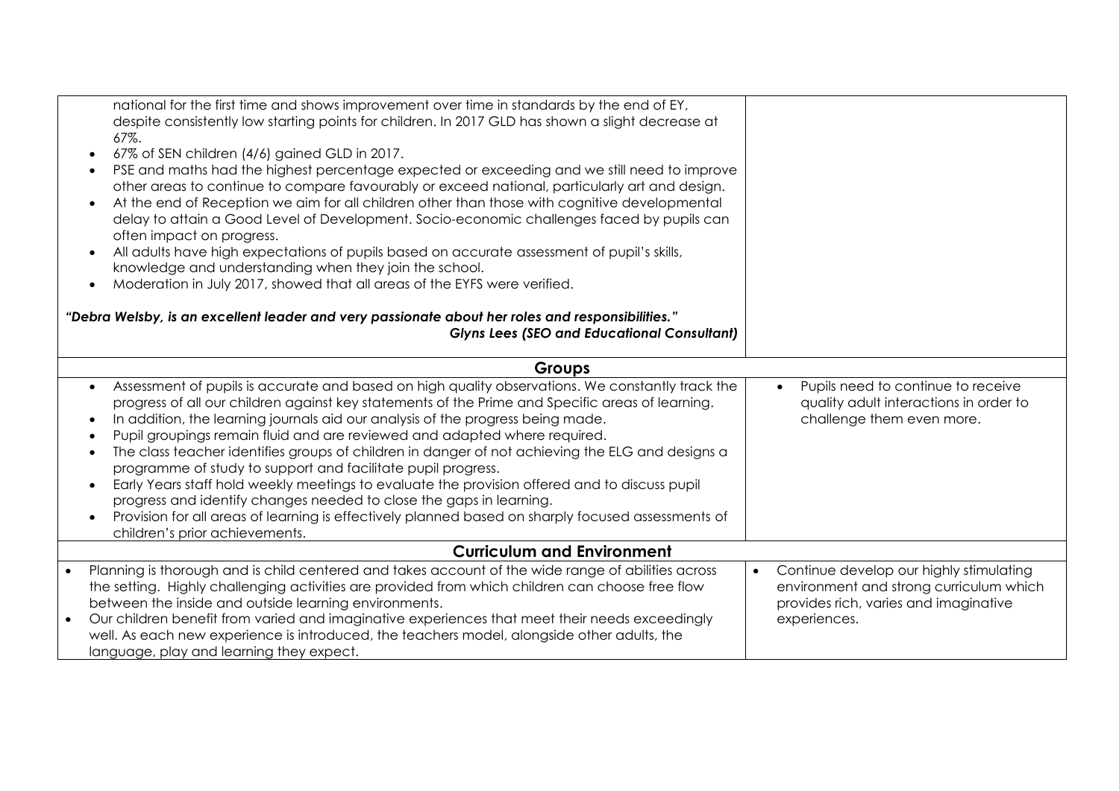|           | national for the first time and shows improvement over time in standards by the end of EY,<br>despite consistently low starting points for children. In 2017 GLD has shown a slight decrease at<br>67%.<br>67% of SEN children (4/6) gained GLD in 2017.<br>$\bullet$<br>PSE and maths had the highest percentage expected or exceeding and we still need to improve<br>other areas to continue to compare favourably or exceed national, particularly art and design.<br>At the end of Reception we aim for all children other than those with cognitive developmental<br>delay to attain a Good Level of Development. Socio-economic challenges faced by pupils can<br>often impact on progress.<br>All adults have high expectations of pupils based on accurate assessment of pupil's skills,<br>$\bullet$                                                                                                                         |                                                                                                                                                          |
|-----------|----------------------------------------------------------------------------------------------------------------------------------------------------------------------------------------------------------------------------------------------------------------------------------------------------------------------------------------------------------------------------------------------------------------------------------------------------------------------------------------------------------------------------------------------------------------------------------------------------------------------------------------------------------------------------------------------------------------------------------------------------------------------------------------------------------------------------------------------------------------------------------------------------------------------------------------|----------------------------------------------------------------------------------------------------------------------------------------------------------|
|           | knowledge and understanding when they join the school.<br>Moderation in July 2017, showed that all areas of the EYFS were verified.<br>$\bullet$<br>"Debra Welsby, is an excellent leader and very passionate about her roles and responsibilities."                                                                                                                                                                                                                                                                                                                                                                                                                                                                                                                                                                                                                                                                                   |                                                                                                                                                          |
|           | <b>Glyns Lees (SEO and Educational Consultant)</b>                                                                                                                                                                                                                                                                                                                                                                                                                                                                                                                                                                                                                                                                                                                                                                                                                                                                                     |                                                                                                                                                          |
|           | <b>Groups</b>                                                                                                                                                                                                                                                                                                                                                                                                                                                                                                                                                                                                                                                                                                                                                                                                                                                                                                                          |                                                                                                                                                          |
|           | Assessment of pupils is accurate and based on high quality observations. We constantly track the<br>$\bullet$<br>progress of all our children against key statements of the Prime and Specific areas of learning.<br>In addition, the learning journals aid our analysis of the progress being made.<br>$\bullet$<br>Pupil groupings remain fluid and are reviewed and adapted where required.<br>$\bullet$<br>The class teacher identifies groups of children in danger of not achieving the ELG and designs a<br>$\bullet$<br>programme of study to support and facilitate pupil progress.<br>Early Years staff hold weekly meetings to evaluate the provision offered and to discuss pupil<br>$\bullet$<br>progress and identify changes needed to close the gaps in learning.<br>Provision for all areas of learning is effectively planned based on sharply focused assessments of<br>$\bullet$<br>children's prior achievements. | Pupils need to continue to receive<br>$\bullet$<br>quality adult interactions in order to<br>challenge them even more.                                   |
|           | <b>Curriculum and Environment</b>                                                                                                                                                                                                                                                                                                                                                                                                                                                                                                                                                                                                                                                                                                                                                                                                                                                                                                      |                                                                                                                                                          |
| $\bullet$ | Planning is thorough and is child centered and takes account of the wide range of abilities across<br>the setting. Highly challenging activities are provided from which children can choose free flow<br>between the inside and outside learning environments.<br>Our children benefit from varied and imaginative experiences that meet their needs exceedingly                                                                                                                                                                                                                                                                                                                                                                                                                                                                                                                                                                      | Continue develop our highly stimulating<br>$\bullet$<br>environment and strong curriculum which<br>provides rich, varies and imaginative<br>experiences. |
|           | well. As each new experience is introduced, the teachers model, alongside other adults, the<br>language, play and learning they expect.                                                                                                                                                                                                                                                                                                                                                                                                                                                                                                                                                                                                                                                                                                                                                                                                |                                                                                                                                                          |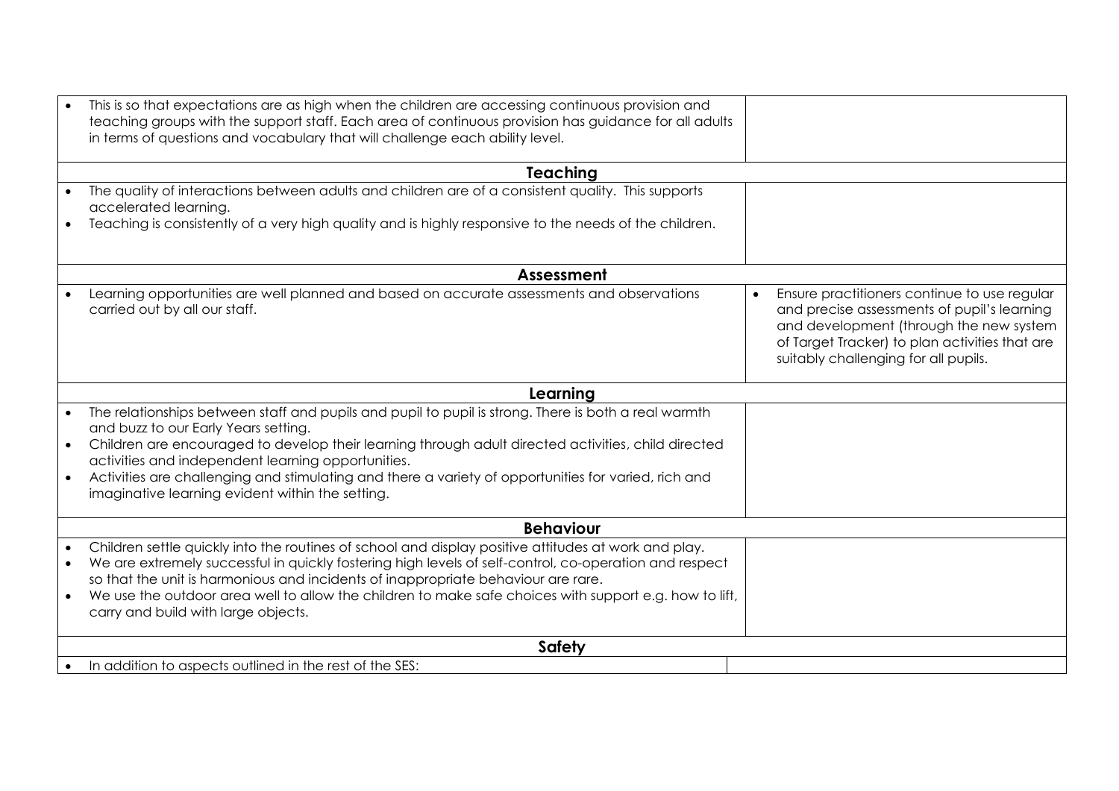|           | This is so that expectations are as high when the children are accessing continuous provision and<br>teaching groups with the support staff. Each area of continuous provision has guidance for all adults<br>in terms of questions and vocabulary that will challenge each ability level.                                                                                                                                                                            |                                                                                                                                                                                                                                  |
|-----------|-----------------------------------------------------------------------------------------------------------------------------------------------------------------------------------------------------------------------------------------------------------------------------------------------------------------------------------------------------------------------------------------------------------------------------------------------------------------------|----------------------------------------------------------------------------------------------------------------------------------------------------------------------------------------------------------------------------------|
|           | <b>Teaching</b>                                                                                                                                                                                                                                                                                                                                                                                                                                                       |                                                                                                                                                                                                                                  |
|           | The quality of interactions between adults and children are of a consistent quality. This supports<br>accelerated learning.<br>Teaching is consistently of a very high quality and is highly responsive to the needs of the children.                                                                                                                                                                                                                                 |                                                                                                                                                                                                                                  |
|           | Assessment                                                                                                                                                                                                                                                                                                                                                                                                                                                            |                                                                                                                                                                                                                                  |
|           | Learning opportunities are well planned and based on accurate assessments and observations<br>carried out by all our staff.                                                                                                                                                                                                                                                                                                                                           | Ensure practitioners continue to use regular<br>and precise assessments of pupil's learning<br>and development (through the new system<br>of Target Tracker) to plan activities that are<br>suitably challenging for all pupils. |
|           | Learning                                                                                                                                                                                                                                                                                                                                                                                                                                                              |                                                                                                                                                                                                                                  |
| $\bullet$ | The relationships between staff and pupils and pupil to pupil is strong. There is both a real warmth<br>and buzz to our Early Years setting.<br>Children are encouraged to develop their learning through adult directed activities, child directed<br>activities and independent learning opportunities.<br>Activities are challenging and stimulating and there a variety of opportunities for varied, rich and<br>imaginative learning evident within the setting. |                                                                                                                                                                                                                                  |
|           | <b>Behaviour</b>                                                                                                                                                                                                                                                                                                                                                                                                                                                      |                                                                                                                                                                                                                                  |
| $\bullet$ | Children settle quickly into the routines of school and display positive attitudes at work and play.<br>We are extremely successful in quickly fostering high levels of self-control, co-operation and respect<br>so that the unit is harmonious and incidents of inappropriate behaviour are rare.<br>We use the outdoor area well to allow the children to make safe choices with support e.g. how to lift,<br>carry and build with large objects.                  |                                                                                                                                                                                                                                  |
|           | <b>Safety</b>                                                                                                                                                                                                                                                                                                                                                                                                                                                         |                                                                                                                                                                                                                                  |
|           | In addition to aspects outlined in the rest of the SES:                                                                                                                                                                                                                                                                                                                                                                                                               |                                                                                                                                                                                                                                  |